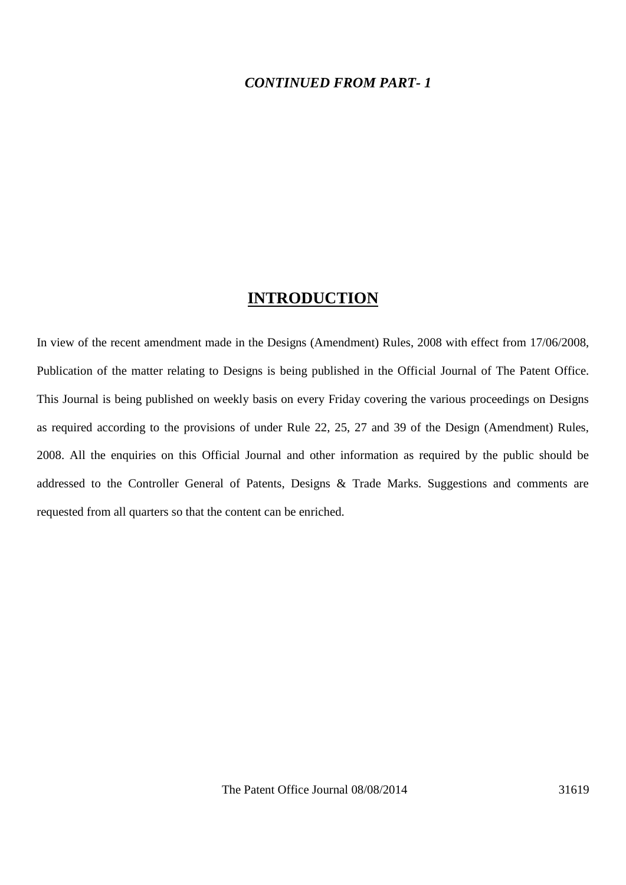### *CONTINUED FROM PART- 1*

## **INTRODUCTION**

In view of the recent amendment made in the Designs (Amendment) Rules, 2008 with effect from 17/06/2008, Publication of the matter relating to Designs is being published in the Official Journal of The Patent Office. This Journal is being published on weekly basis on every Friday covering the various proceedings on Designs as required according to the provisions of under Rule 22, 25, 27 and 39 of the Design (Amendment) Rules, 2008. All the enquiries on this Official Journal and other information as required by the public should be addressed to the Controller General of Patents, Designs & Trade Marks. Suggestions and comments are requested from all quarters so that the content can be enriched.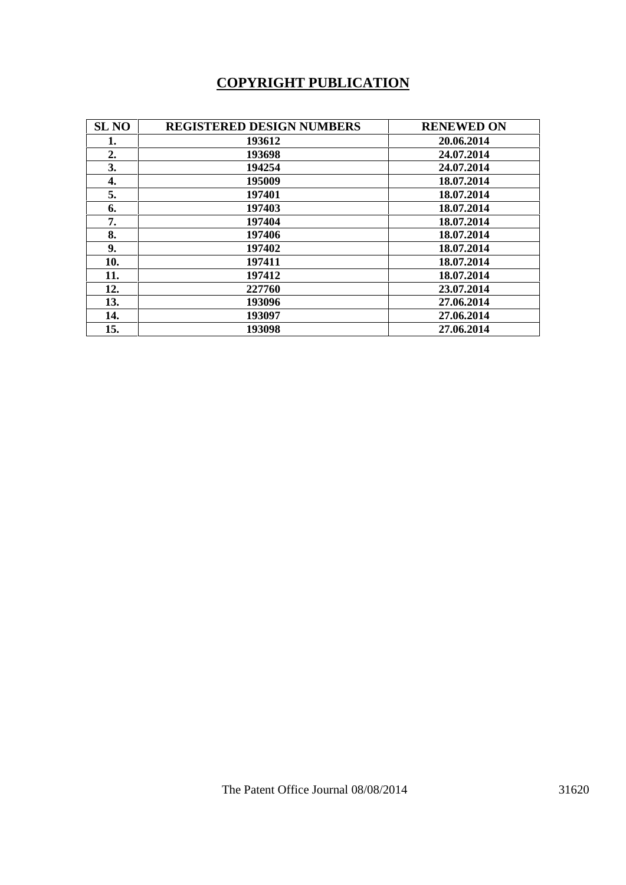# **COPYRIGHT PUBLICATION**

| <b>SL NO</b> | <b>REGISTERED DESIGN NUMBERS</b> | <b>RENEWED ON</b> |
|--------------|----------------------------------|-------------------|
| 1.           | 193612                           | 20.06.2014        |
| 2.           | 193698                           | 24.07.2014        |
| 3.           | 194254                           | 24.07.2014        |
| 4.           | 195009                           | 18.07.2014        |
| 5.           | 197401                           | 18.07.2014        |
| 6.           | 197403                           | 18.07.2014        |
| 7.           | 197404                           | 18.07.2014        |
| 8.           | 197406                           | 18.07.2014        |
| 9.           | 197402                           | 18.07.2014        |
| 10.          | 197411                           | 18.07.2014        |
| 11.          | 197412                           | 18.07.2014        |
| 12.          | 227760                           | 23.07.2014        |
| 13.          | 193096                           | 27.06.2014        |
| 14.          | 193097                           | 27.06.2014        |
| 15.          | 193098                           | 27.06.2014        |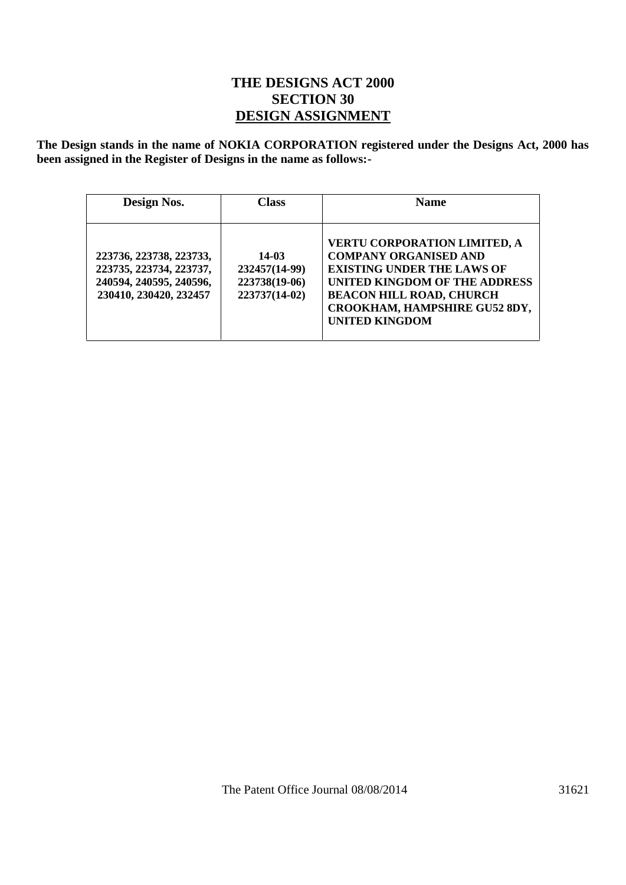## **THE DESIGNS ACT 2000 SECTION 30 DESIGN ASSIGNMENT**

**The Design stands in the name of NOKIA CORPORATION registered under the Designs Act, 2000 has been assigned in the Register of Designs in the name as follows:-**

| Design Nos.                                                                                             | <b>Class</b>                                             | <b>Name</b>                                                                                                                                                                                                                                   |  |  |
|---------------------------------------------------------------------------------------------------------|----------------------------------------------------------|-----------------------------------------------------------------------------------------------------------------------------------------------------------------------------------------------------------------------------------------------|--|--|
| 223736, 223738, 223733,<br>223735, 223734, 223737,<br>240594, 240595, 240596,<br>230410, 230420, 232457 | 14-03<br>232457(14-99)<br>223738(19-06)<br>223737(14-02) | <b>VERTU CORPORATION LIMITED, A</b><br><b>COMPANY ORGANISED AND</b><br><b>EXISTING UNDER THE LAWS OF</b><br><b>UNITED KINGDOM OF THE ADDRESS</b><br><b>BEACON HILL ROAD, CHURCH</b><br>CROOKHAM, HAMPSHIRE GU52 8DY,<br><b>UNITED KINGDOM</b> |  |  |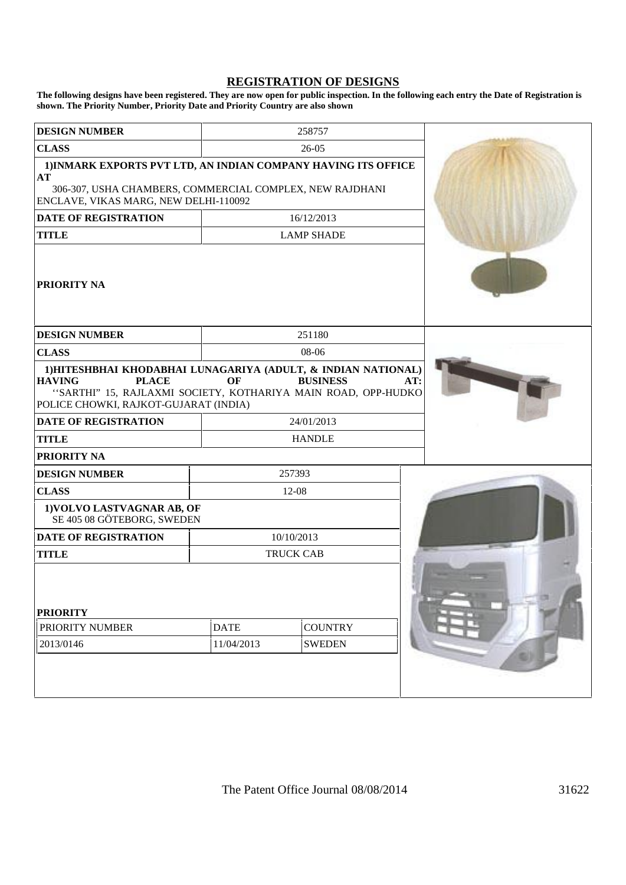#### **REGISTRATION OF DESIGNS**

**The following designs have been registered. They are now open for public inspection. In the following each entry the Date of Registration is shown. The Priority Number, Priority Date and Priority Country are also shown**

| <b>DESIGN NUMBER</b>                                                                                                                                                                                     |                           | 258757                          |     |
|----------------------------------------------------------------------------------------------------------------------------------------------------------------------------------------------------------|---------------------------|---------------------------------|-----|
| <b>CLASS</b>                                                                                                                                                                                             |                           | $26-05$                         |     |
| 1) INMARK EXPORTS PVT LTD, AN INDIAN COMPANY HAVING ITS OFFICE<br>AT                                                                                                                                     |                           |                                 |     |
| 306-307, USHA CHAMBERS, COMMERCIAL COMPLEX, NEW RAJDHANI<br>ENCLAVE, VIKAS MARG, NEW DELHI-110092                                                                                                        |                           |                                 |     |
| <b>DATE OF REGISTRATION</b>                                                                                                                                                                              |                           | 16/12/2013                      |     |
| <b>TITLE</b>                                                                                                                                                                                             |                           | <b>LAMP SHADE</b>               |     |
| <b>PRIORITY NA</b>                                                                                                                                                                                       |                           |                                 |     |
| <b>DESIGN NUMBER</b>                                                                                                                                                                                     |                           | 251180                          |     |
| <b>CLASS</b>                                                                                                                                                                                             |                           | 08-06                           |     |
| 1) HITESHBHAI KHODABHAI LUNAGARIYA (ADULT, & INDIAN NATIONAL)<br><b>HAVING</b><br><b>PLACE</b><br>"SARTHI" 15, RAJLAXMI SOCIETY, KOTHARIYA MAIN ROAD, OPP-HUDKO<br>POLICE CHOWKI, RAJKOT-GUJARAT (INDIA) | OF                        | <b>BUSINESS</b>                 | AT: |
| <b>DATE OF REGISTRATION</b>                                                                                                                                                                              |                           | 24/01/2013                      |     |
| <b>TITLE</b>                                                                                                                                                                                             |                           | <b>HANDLE</b>                   |     |
| <b>PRIORITY NA</b>                                                                                                                                                                                       |                           |                                 |     |
| <b>DESIGN NUMBER</b>                                                                                                                                                                                     |                           | 257393                          |     |
| <b>CLASS</b>                                                                                                                                                                                             |                           | 12-08                           |     |
| 1) VOLVO LASTVAGNAR AB, OF<br>SE 405 08 GÖTEBORG, SWEDEN                                                                                                                                                 |                           |                                 |     |
| <b>DATE OF REGISTRATION</b>                                                                                                                                                                              |                           | 10/10/2013                      |     |
| <b>TITLE</b>                                                                                                                                                                                             |                           | <b>TRUCK CAB</b>                |     |
| <b>PRIORITY</b><br>PRIORITY NUMBER<br>2013/0146                                                                                                                                                          | <b>DATE</b><br>11/04/2013 | <b>COUNTRY</b><br><b>SWEDEN</b> |     |
|                                                                                                                                                                                                          |                           |                                 |     |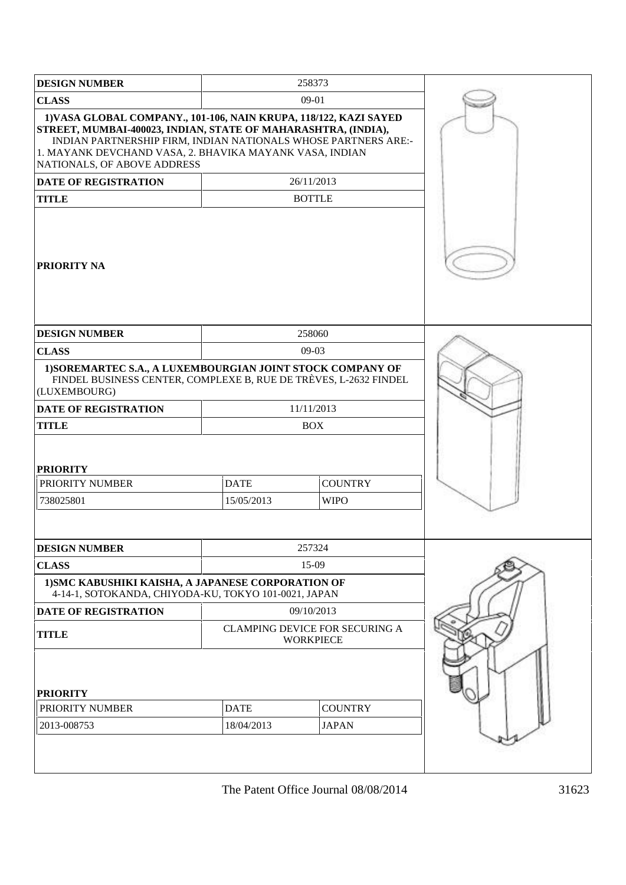| <b>DESIGN NUMBER</b>                                                                                                                                                                                                                                                                           |  | 258373                                                    |  |
|------------------------------------------------------------------------------------------------------------------------------------------------------------------------------------------------------------------------------------------------------------------------------------------------|--|-----------------------------------------------------------|--|
| <b>CLASS</b>                                                                                                                                                                                                                                                                                   |  | 09-01                                                     |  |
| 1) VASA GLOBAL COMPANY., 101-106, NAIN KRUPA, 118/122, KAZI SAYED<br>STREET, MUMBAI-400023, INDIAN, STATE OF MAHARASHTRA, (INDIA),<br>INDIAN PARTNERSHIP FIRM, INDIAN NATIONALS WHOSE PARTNERS ARE:-<br>1. MAYANK DEVCHAND VASA, 2. BHAVIKA MAYANK VASA, INDIAN<br>NATIONALS, OF ABOVE ADDRESS |  |                                                           |  |
| <b>DATE OF REGISTRATION</b>                                                                                                                                                                                                                                                                    |  | 26/11/2013                                                |  |
| <b>TITLE</b>                                                                                                                                                                                                                                                                                   |  | <b>BOTTLE</b>                                             |  |
| <b>PRIORITY NA</b>                                                                                                                                                                                                                                                                             |  |                                                           |  |
| <b>DESIGN NUMBER</b>                                                                                                                                                                                                                                                                           |  | 258060                                                    |  |
| <b>CLASS</b>                                                                                                                                                                                                                                                                                   |  | 09-03                                                     |  |
| 1) SOREMARTEC S.A., A LUXEMBOURGIAN JOINT STOCK COMPANY OF<br>FINDEL BUSINESS CENTER, COMPLEXE B, RUE DE TRÈVES, L-2632 FINDEL<br>(LUXEMBOURG)                                                                                                                                                 |  |                                                           |  |
| <b>DATE OF REGISTRATION</b>                                                                                                                                                                                                                                                                    |  | 11/11/2013                                                |  |
| <b>TITLE</b>                                                                                                                                                                                                                                                                                   |  | <b>BOX</b>                                                |  |
| <b>PRIORITY</b><br>PRIORITY NUMBER<br><b>DATE</b><br><b>COUNTRY</b><br>15/05/2013<br><b>WIPO</b><br>738025801                                                                                                                                                                                  |  |                                                           |  |
| <b>DESIGN NUMBER</b>                                                                                                                                                                                                                                                                           |  | 257324                                                    |  |
| <b>CLASS</b>                                                                                                                                                                                                                                                                                   |  | 15-09                                                     |  |
| 1) SMC KABUSHIKI KAISHA, A JAPANESE CORPORATION OF<br>4-14-1, SOTOKANDA, CHIYODA-KU, TOKYO 101-0021, JAPAN                                                                                                                                                                                     |  |                                                           |  |
| <b>DATE OF REGISTRATION</b>                                                                                                                                                                                                                                                                    |  | 09/10/2013                                                |  |
| <b>TITLE</b>                                                                                                                                                                                                                                                                                   |  | <b>CLAMPING DEVICE FOR SECURING A</b><br><b>WORKPIECE</b> |  |
| <b>PRIORITY</b><br>PRIORITY NUMBER<br>2013-008753                                                                                                                                                                                                                                              |  |                                                           |  |
|                                                                                                                                                                                                                                                                                                |  |                                                           |  |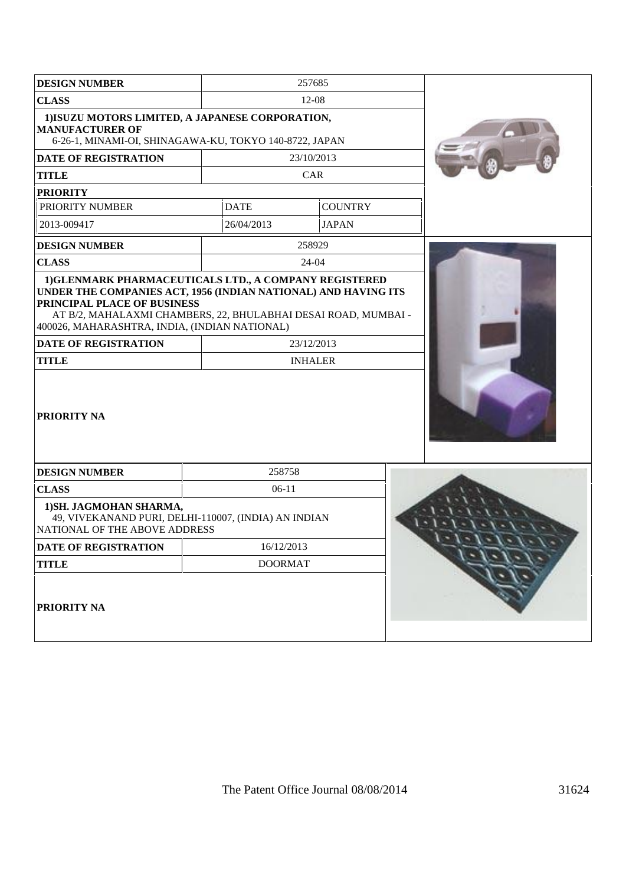| <b>DESIGN NUMBER</b>                                                                                                                                                                                                                            |             | 257685         |  |
|-------------------------------------------------------------------------------------------------------------------------------------------------------------------------------------------------------------------------------------------------|-------------|----------------|--|
| <b>CLASS</b>                                                                                                                                                                                                                                    |             | $12 - 08$      |  |
| 1) ISUZU MOTORS LIMITED, A JAPANESE CORPORATION,<br><b>MANUFACTURER OF</b><br>6-26-1, MINAMI-OI, SHINAGAWA-KU, TOKYO 140-8722, JAPAN                                                                                                            |             |                |  |
| <b>DATE OF REGISTRATION</b>                                                                                                                                                                                                                     |             | 23/10/2013     |  |
| <b>TITLE</b>                                                                                                                                                                                                                                    |             | CAR            |  |
| <b>PRIORITY</b>                                                                                                                                                                                                                                 |             |                |  |
| PRIORITY NUMBER                                                                                                                                                                                                                                 | <b>DATE</b> | <b>COUNTRY</b> |  |
| 2013-009417                                                                                                                                                                                                                                     | 26/04/2013  | <b>JAPAN</b>   |  |
| <b>DESIGN NUMBER</b>                                                                                                                                                                                                                            |             | 258929         |  |
| <b>CLASS</b>                                                                                                                                                                                                                                    |             | 24-04          |  |
| UNDER THE COMPANIES ACT, 1956 (INDIAN NATIONAL) AND HAVING ITS<br>PRINCIPAL PLACE OF BUSINESS<br>AT B/2, MAHALAXMI CHAMBERS, 22, BHULABHAI DESAI ROAD, MUMBAI -<br>400026, MAHARASHTRA, INDIA, (INDIAN NATIONAL)<br><b>DATE OF REGISTRATION</b> |             | 23/12/2013     |  |
| <b>TITLE</b>                                                                                                                                                                                                                                    |             | <b>INHALER</b> |  |
| PRIORITY NA                                                                                                                                                                                                                                     |             |                |  |
| <b>DESIGN NUMBER</b>                                                                                                                                                                                                                            | 258758      |                |  |
| <b>CLASS</b>                                                                                                                                                                                                                                    | $06-11$     |                |  |
| 1) SH. JAGMOHAN SHARMA,<br>49, VIVEKANAND PURI, DELHI-110007, (INDIA) AN INDIAN<br>NATIONAL OF THE ABOVE ADDRESS                                                                                                                                |             |                |  |
| DATE OF REGISTRATION                                                                                                                                                                                                                            | 16/12/2013  |                |  |
| <b>TITLE</b>                                                                                                                                                                                                                                    |             |                |  |
| PRIORITY NA                                                                                                                                                                                                                                     |             |                |  |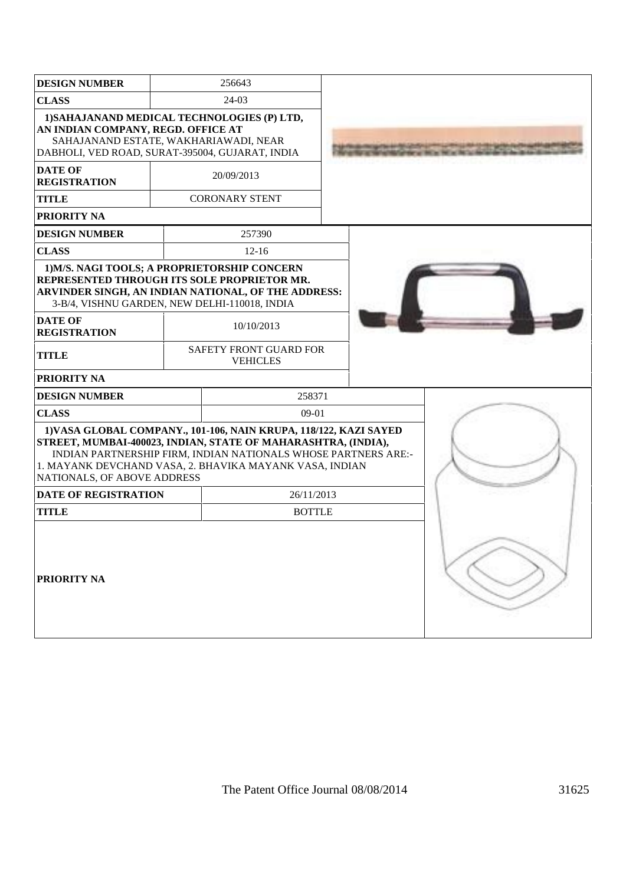| <b>DESIGN NUMBER</b>                                                                                                                                                          |         | 256643                                                                                                                                                                                                                                                          |  |  |  |
|-------------------------------------------------------------------------------------------------------------------------------------------------------------------------------|---------|-----------------------------------------------------------------------------------------------------------------------------------------------------------------------------------------------------------------------------------------------------------------|--|--|--|
| <b>CLASS</b>                                                                                                                                                                  | $24-03$ |                                                                                                                                                                                                                                                                 |  |  |  |
| 1) SAHAJANAND MEDICAL TECHNOLOGIES (P) LTD,<br>AN INDIAN COMPANY, REGD. OFFICE AT<br>SAHAJANAND ESTATE, WAKHARIAWADI, NEAR<br>DABHOLI, VED ROAD, SURAT-395004, GUJARAT, INDIA |         |                                                                                                                                                                                                                                                                 |  |  |  |
| <b>DATE OF</b><br><b>REGISTRATION</b>                                                                                                                                         |         | 20/09/2013                                                                                                                                                                                                                                                      |  |  |  |
| <b>TITLE</b>                                                                                                                                                                  |         | <b>CORONARY STENT</b>                                                                                                                                                                                                                                           |  |  |  |
| <b>PRIORITY NA</b>                                                                                                                                                            |         |                                                                                                                                                                                                                                                                 |  |  |  |
| <b>DESIGN NUMBER</b>                                                                                                                                                          |         | 257390                                                                                                                                                                                                                                                          |  |  |  |
| <b>CLASS</b>                                                                                                                                                                  |         | $12-16$                                                                                                                                                                                                                                                         |  |  |  |
| 1) M/S. NAGI TOOLS; A PROPRIETORSHIP CONCERN<br>REPRESENTED THROUGH ITS SOLE PROPRIETOR MR.<br>3-B/4, VISHNU GARDEN, NEW DELHI-110018, INDIA                                  |         | ARVINDER SINGH, AN INDIAN NATIONAL, OF THE ADDRESS:                                                                                                                                                                                                             |  |  |  |
| <b>DATE OF</b><br><b>REGISTRATION</b>                                                                                                                                         |         | 10/10/2013                                                                                                                                                                                                                                                      |  |  |  |
| <b>TITLE</b>                                                                                                                                                                  |         | SAFETY FRONT GUARD FOR<br><b>VEHICLES</b>                                                                                                                                                                                                                       |  |  |  |
| PRIORITY NA                                                                                                                                                                   |         |                                                                                                                                                                                                                                                                 |  |  |  |
| <b>DESIGN NUMBER</b>                                                                                                                                                          |         | 258371                                                                                                                                                                                                                                                          |  |  |  |
| <b>CLASS</b>                                                                                                                                                                  |         | 09-01                                                                                                                                                                                                                                                           |  |  |  |
| NATIONALS, OF ABOVE ADDRESS                                                                                                                                                   |         | 1) VASA GLOBAL COMPANY., 101-106, NAIN KRUPA, 118/122, KAZI SAYED<br>STREET, MUMBAI-400023, INDIAN, STATE OF MAHARASHTRA, (INDIA),<br>INDIAN PARTNERSHIP FIRM, INDIAN NATIONALS WHOSE PARTNERS ARE:-<br>1. MAYANK DEVCHAND VASA, 2. BHAVIKA MAYANK VASA, INDIAN |  |  |  |
| <b>DATE OF REGISTRATION</b><br>26/11/2013                                                                                                                                     |         |                                                                                                                                                                                                                                                                 |  |  |  |
| <b>TITLE</b><br><b>BOTTLE</b>                                                                                                                                                 |         |                                                                                                                                                                                                                                                                 |  |  |  |
| <b>PRIORITY NA</b>                                                                                                                                                            |         |                                                                                                                                                                                                                                                                 |  |  |  |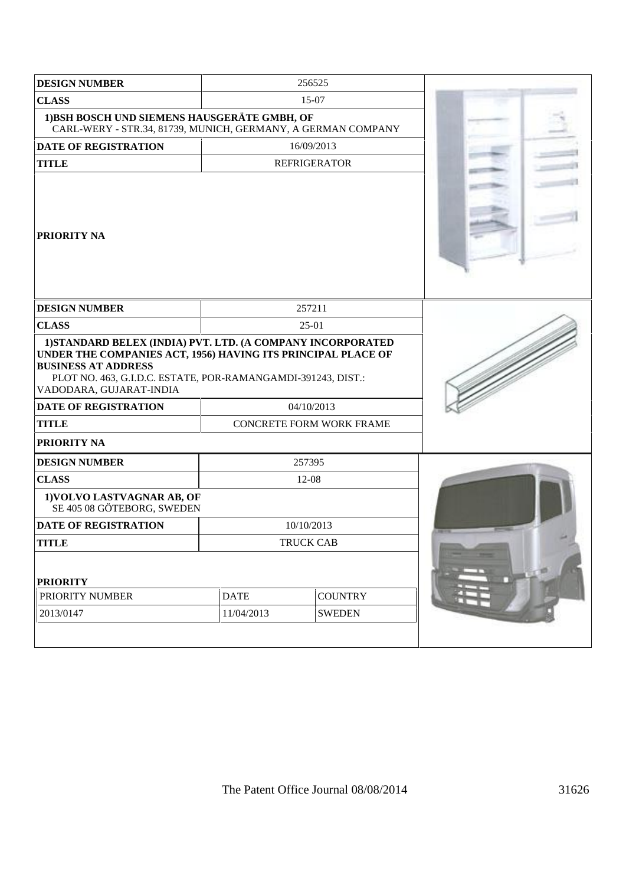| <b>DESIGN NUMBER</b>                                                                                                                                                                                                                                                                |                           | 256525                          |  |
|-------------------------------------------------------------------------------------------------------------------------------------------------------------------------------------------------------------------------------------------------------------------------------------|---------------------------|---------------------------------|--|
| <b>CLASS</b><br>15-07                                                                                                                                                                                                                                                               |                           |                                 |  |
| 1) BSH BOSCH UND SIEMENS HAUSGERÄTE GMBH, OF<br>CARL-WERY - STR.34, 81739, MUNICH, GERMANY, A GERMAN COMPANY                                                                                                                                                                        |                           |                                 |  |
| DATE OF REGISTRATION                                                                                                                                                                                                                                                                |                           | 16/09/2013                      |  |
| <b>TITLE</b>                                                                                                                                                                                                                                                                        |                           | <b>REFRIGERATOR</b>             |  |
| <b>PRIORITY NA</b>                                                                                                                                                                                                                                                                  |                           |                                 |  |
| <b>DESIGN NUMBER</b>                                                                                                                                                                                                                                                                |                           | 257211                          |  |
| <b>CLASS</b>                                                                                                                                                                                                                                                                        |                           | $25-01$                         |  |
| 1) STANDARD BELEX (INDIA) PVT. LTD. (A COMPANY INCORPORATED<br>UNDER THE COMPANIES ACT, 1956) HAVING ITS PRINCIPAL PLACE OF<br><b>BUSINESS AT ADDRESS</b><br>PLOT NO. 463, G.I.D.C. ESTATE, POR-RAMANGAMDI-391243, DIST.:<br>VADODARA, GUJARAT-INDIA<br><b>DATE OF REGISTRATION</b> |                           | 04/10/2013                      |  |
| <b>TITLE</b>                                                                                                                                                                                                                                                                        |                           | <b>CONCRETE FORM WORK FRAME</b> |  |
| PRIORITY NA                                                                                                                                                                                                                                                                         |                           |                                 |  |
|                                                                                                                                                                                                                                                                                     |                           |                                 |  |
| <b>DESIGN NUMBER</b>                                                                                                                                                                                                                                                                |                           | 257395                          |  |
| <b>CLASS</b><br>1) VOLVO LASTVAGNAR AB, OF<br>SE 405 08 GÖTEBORG, SWEDEN                                                                                                                                                                                                            |                           | 12-08                           |  |
| <b>DATE OF REGISTRATION</b>                                                                                                                                                                                                                                                         |                           | 10/10/2013                      |  |
| <b>TITLE</b>                                                                                                                                                                                                                                                                        |                           | TRUCK CAB                       |  |
| <b>PRIORITY</b><br>PRIORITY NUMBER<br>2013/0147                                                                                                                                                                                                                                     | <b>DATE</b><br>11/04/2013 | <b>COUNTRY</b><br><b>SWEDEN</b> |  |
|                                                                                                                                                                                                                                                                                     |                           |                                 |  |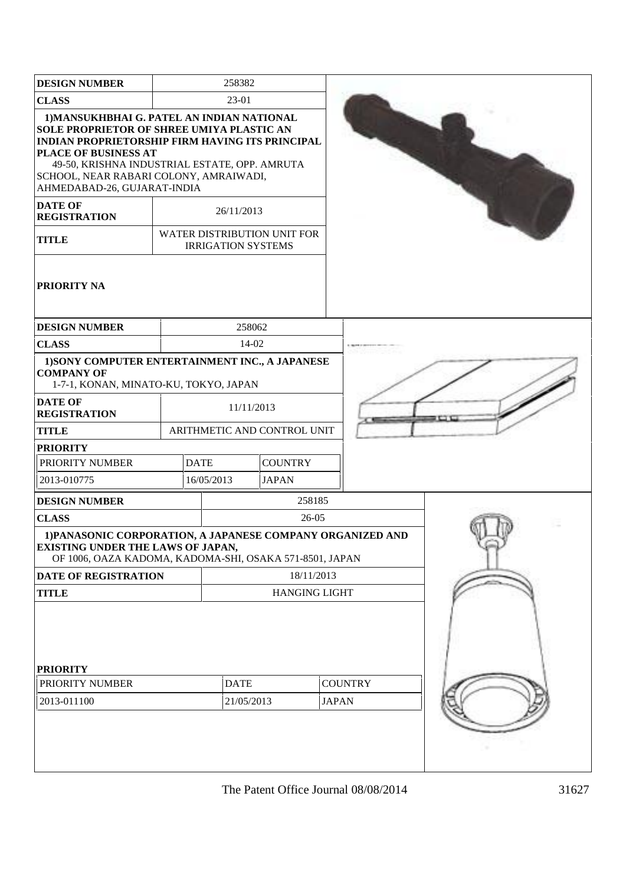| <b>DESIGN NUMBER</b>                                                                                                                                                                                                                                                                                       |                           | 258382                    |                             |                |  |  |
|------------------------------------------------------------------------------------------------------------------------------------------------------------------------------------------------------------------------------------------------------------------------------------------------------------|---------------------------|---------------------------|-----------------------------|----------------|--|--|
| <b>CLASS</b>                                                                                                                                                                                                                                                                                               |                           |                           |                             |                |  |  |
| 1) MANSUKHBHAI G. PATEL AN INDIAN NATIONAL<br>SOLE PROPRIETOR OF SHREE UMIYA PLASTIC AN<br><b>INDIAN PROPRIETORSHIP FIRM HAVING ITS PRINCIPAL</b><br><b>PLACE OF BUSINESS AT</b><br>49-50, KRISHNA INDUSTRIAL ESTATE, OPP. AMRUTA<br>SCHOOL, NEAR RABARI COLONY, AMRAIWADI,<br>AHMEDABAD-26, GUJARAT-INDIA |                           |                           |                             |                |  |  |
| <b>DATE OF</b><br><b>REGISTRATION</b>                                                                                                                                                                                                                                                                      |                           | 26/11/2013                |                             |                |  |  |
| <b>TITLE</b>                                                                                                                                                                                                                                                                                               |                           | <b>IRRIGATION SYSTEMS</b> | WATER DISTRIBUTION UNIT FOR |                |  |  |
| <b>PRIORITY NA</b>                                                                                                                                                                                                                                                                                         |                           |                           |                             |                |  |  |
| <b>DESIGN NUMBER</b>                                                                                                                                                                                                                                                                                       |                           | 258062                    |                             |                |  |  |
| <b>CLASS</b>                                                                                                                                                                                                                                                                                               |                           | 14-02                     |                             |                |  |  |
| 1) SONY COMPUTER ENTERTAINMENT INC., A JAPANESE<br><b>COMPANY OF</b><br>1-7-1, KONAN, MINATO-KU, TOKYO, JAPAN                                                                                                                                                                                              |                           |                           |                             |                |  |  |
| <b>DATE OF</b><br><b>REGISTRATION</b>                                                                                                                                                                                                                                                                      |                           | 11/11/2013                |                             |                |  |  |
| <b>TITLE</b>                                                                                                                                                                                                                                                                                               |                           |                           | ARITHMETIC AND CONTROL UNIT |                |  |  |
| <b>PRIORITY</b>                                                                                                                                                                                                                                                                                            |                           |                           |                             |                |  |  |
| PRIORITY NUMBER                                                                                                                                                                                                                                                                                            |                           | <b>DATE</b>               | <b>COUNTRY</b>              |                |  |  |
| 2013-010775                                                                                                                                                                                                                                                                                                |                           | 16/05/2013                | <b>JAPAN</b>                |                |  |  |
| <b>DESIGN NUMBER</b>                                                                                                                                                                                                                                                                                       |                           |                           | 258185                      |                |  |  |
| <b>CLASS</b>                                                                                                                                                                                                                                                                                               |                           |                           | 26-05                       |                |  |  |
| 1) PANASONIC CORPORATION, A JAPANESE COMPANY ORGANIZED AND<br><b>EXISTING UNDER THE LAWS OF JAPAN,</b><br>OF 1006, OAZA KADOMA, KADOMA-SHI, OSAKA 571-8501, JAPAN                                                                                                                                          |                           |                           |                             |                |  |  |
| <b>DATE OF REGISTRATION</b>                                                                                                                                                                                                                                                                                |                           |                           | 18/11/2013                  |                |  |  |
| <b>TITLE</b>                                                                                                                                                                                                                                                                                               |                           |                           | <b>HANGING LIGHT</b>        |                |  |  |
| <b>PRIORITY</b><br>PRIORITY NUMBER<br>2013-011100                                                                                                                                                                                                                                                          | <b>DATE</b><br>21/05/2013 |                           | <b>JAPAN</b>                | <b>COUNTRY</b> |  |  |
|                                                                                                                                                                                                                                                                                                            |                           |                           |                             |                |  |  |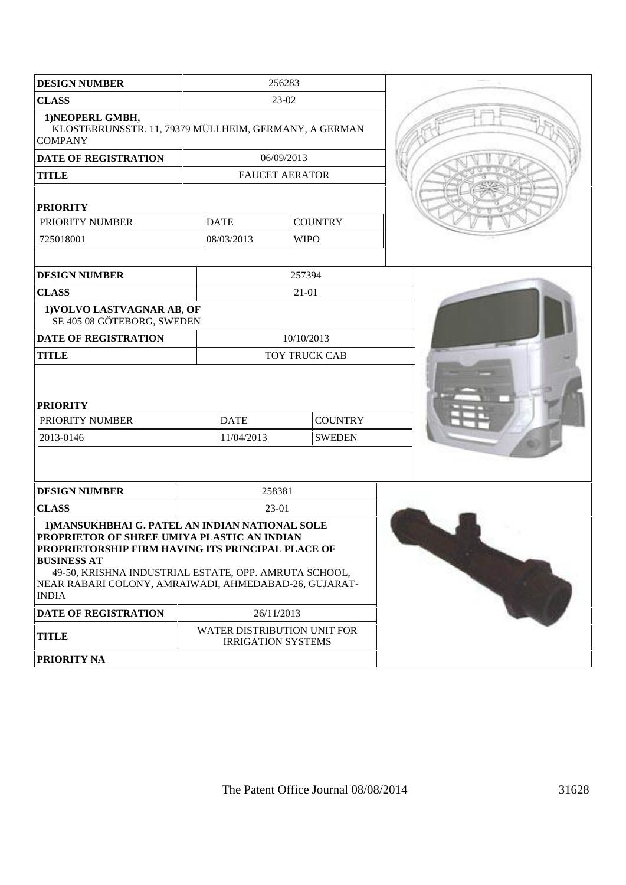| <b>DESIGN NUMBER</b>                                                                                                                                                                                                                                                                                        |             | 256283                                                   |  |  |
|-------------------------------------------------------------------------------------------------------------------------------------------------------------------------------------------------------------------------------------------------------------------------------------------------------------|-------------|----------------------------------------------------------|--|--|
| <b>CLASS</b>                                                                                                                                                                                                                                                                                                |             | 23-02                                                    |  |  |
| 1) NEOPERL GMBH,<br>KLOSTERRUNSSTR. 11, 79379 MÜLLHEIM, GERMANY, A GERMAN<br><b>COMPANY</b>                                                                                                                                                                                                                 |             |                                                          |  |  |
| <b>DATE OF REGISTRATION</b>                                                                                                                                                                                                                                                                                 |             | 06/09/2013                                               |  |  |
| <b>TITLE</b>                                                                                                                                                                                                                                                                                                |             | <b>FAUCET AERATOR</b>                                    |  |  |
| <b>PRIORITY</b>                                                                                                                                                                                                                                                                                             |             |                                                          |  |  |
| PRIORITY NUMBER                                                                                                                                                                                                                                                                                             | <b>DATE</b> | <b>COUNTRY</b>                                           |  |  |
| 725018001                                                                                                                                                                                                                                                                                                   | 08/03/2013  | <b>WIPO</b>                                              |  |  |
|                                                                                                                                                                                                                                                                                                             |             |                                                          |  |  |
| <b>DESIGN NUMBER</b>                                                                                                                                                                                                                                                                                        |             | 257394                                                   |  |  |
| <b>CLASS</b>                                                                                                                                                                                                                                                                                                |             | $21 - 01$                                                |  |  |
| 1) VOLVO LASTVAGNAR AB, OF<br>SE 405 08 GÖTEBORG, SWEDEN                                                                                                                                                                                                                                                    |             |                                                          |  |  |
| <b>DATE OF REGISTRATION</b>                                                                                                                                                                                                                                                                                 |             | 10/10/2013                                               |  |  |
| <b>TITLE</b>                                                                                                                                                                                                                                                                                                |             | TOY TRUCK CAB                                            |  |  |
| <b>PRIORITY</b><br>PRIORITY NUMBER                                                                                                                                                                                                                                                                          | <b>DATE</b> | <b>COUNTRY</b>                                           |  |  |
| 2013-0146                                                                                                                                                                                                                                                                                                   | 11/04/2013  | <b>SWEDEN</b>                                            |  |  |
|                                                                                                                                                                                                                                                                                                             |             |                                                          |  |  |
|                                                                                                                                                                                                                                                                                                             |             |                                                          |  |  |
| <b>DESIGN NUMBER</b>                                                                                                                                                                                                                                                                                        |             | 258381                                                   |  |  |
| <b>CLASS</b>                                                                                                                                                                                                                                                                                                |             | 23-01                                                    |  |  |
| 1) MANSUKHBHAI G. PATEL AN INDIAN NATIONAL SOLE<br>PROPRIETOR OF SHREE UMIYA PLASTIC AN INDIAN<br>PROPRIETORSHIP FIRM HAVING ITS PRINCIPAL PLACE OF<br><b>BUSINESS AT</b><br>49-50, KRISHNA INDUSTRIAL ESTATE, OPP. AMRUTA SCHOOL,<br>NEAR RABARI COLONY, AMRAIWADI, AHMEDABAD-26, GUJARAT-<br><b>INDIA</b> |             |                                                          |  |  |
| <b>DATE OF REGISTRATION</b>                                                                                                                                                                                                                                                                                 |             | 26/11/2013                                               |  |  |
| <b>TITLE</b>                                                                                                                                                                                                                                                                                                |             | WATER DISTRIBUTION UNIT FOR<br><b>IRRIGATION SYSTEMS</b> |  |  |
| PRIORITY NA                                                                                                                                                                                                                                                                                                 |             |                                                          |  |  |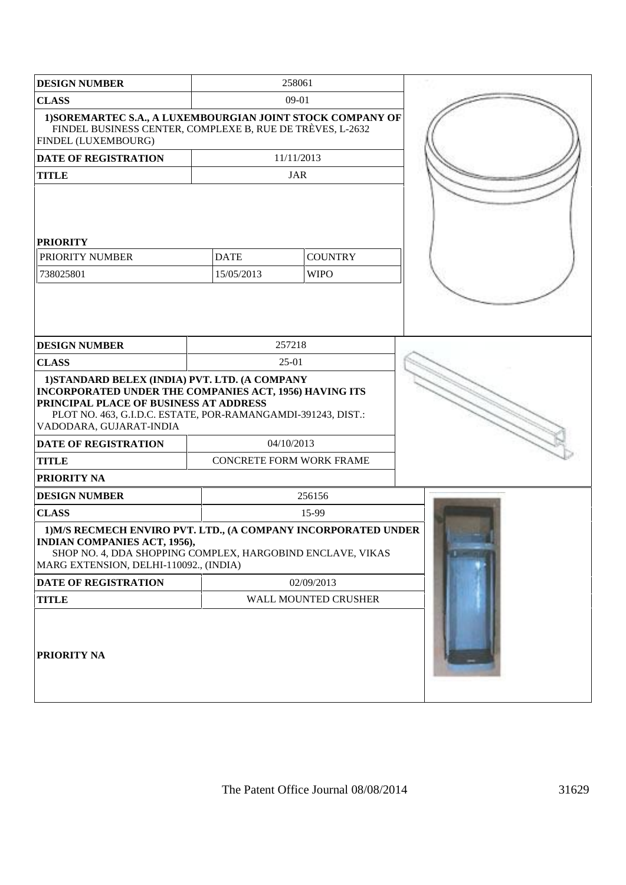| <b>DESIGN NUMBER</b>                                                                                                                                                                                                                                                         |             | 258061                   |  |
|------------------------------------------------------------------------------------------------------------------------------------------------------------------------------------------------------------------------------------------------------------------------------|-------------|--------------------------|--|
| <b>CLASS</b>                                                                                                                                                                                                                                                                 |             | 09-01                    |  |
| 1) SOREMARTEC S.A., A LUXEMBOURGIAN JOINT STOCK COMPANY OF<br>FINDEL BUSINESS CENTER, COMPLEXE B, RUE DE TRÈVES, L-2632<br><b>FINDEL (LUXEMBOURG)</b>                                                                                                                        |             |                          |  |
| <b>DATE OF REGISTRATION</b>                                                                                                                                                                                                                                                  |             | 11/11/2013               |  |
| <b>TITLE</b>                                                                                                                                                                                                                                                                 |             | JAR                      |  |
| <b>PRIORITY</b>                                                                                                                                                                                                                                                              |             |                          |  |
| PRIORITY NUMBER                                                                                                                                                                                                                                                              | <b>DATE</b> | <b>COUNTRY</b>           |  |
| 738025801                                                                                                                                                                                                                                                                    | 15/05/2013  | <b>WIPO</b>              |  |
|                                                                                                                                                                                                                                                                              |             |                          |  |
| <b>DESIGN NUMBER</b>                                                                                                                                                                                                                                                         |             | 257218                   |  |
| <b>CLASS</b>                                                                                                                                                                                                                                                                 |             | $25-01$                  |  |
| 1) STANDARD BELEX (INDIA) PVT. LTD. (A COMPANY<br>INCORPORATED UNDER THE COMPANIES ACT, 1956) HAVING ITS<br>PRINCIPAL PLACE OF BUSINESS AT ADDRESS<br>PLOT NO. 463, G.I.D.C. ESTATE, POR-RAMANGAMDI-391243, DIST.:<br>VADODARA, GUJARAT-INDIA<br><b>DATE OF REGISTRATION</b> |             | 04/10/2013               |  |
| <b>TITLE</b>                                                                                                                                                                                                                                                                 |             | CONCRETE FORM WORK FRAME |  |
| <b>PRIORITY NA</b>                                                                                                                                                                                                                                                           |             |                          |  |
|                                                                                                                                                                                                                                                                              |             | 256156                   |  |
| <b>DESIGN NUMBER</b>                                                                                                                                                                                                                                                         |             | 15-99                    |  |
| <b>CLASS</b>                                                                                                                                                                                                                                                                 |             |                          |  |
| 1) M/S RECMECH ENVIRO PVT. LTD., (A COMPANY INCORPORATED UNDER<br><b>INDIAN COMPANIES ACT, 1956),</b><br>SHOP NO. 4, DDA SHOPPING COMPLEX, HARGOBIND ENCLAVE, VIKAS<br>MARG EXTENSION, DELHI-110092., (INDIA)                                                                |             |                          |  |
| <b>DATE OF REGISTRATION</b>                                                                                                                                                                                                                                                  |             | 02/09/2013               |  |
| <b>TITLE</b>                                                                                                                                                                                                                                                                 |             | WALL MOUNTED CRUSHER     |  |
| <b>PRIORITY NA</b>                                                                                                                                                                                                                                                           |             |                          |  |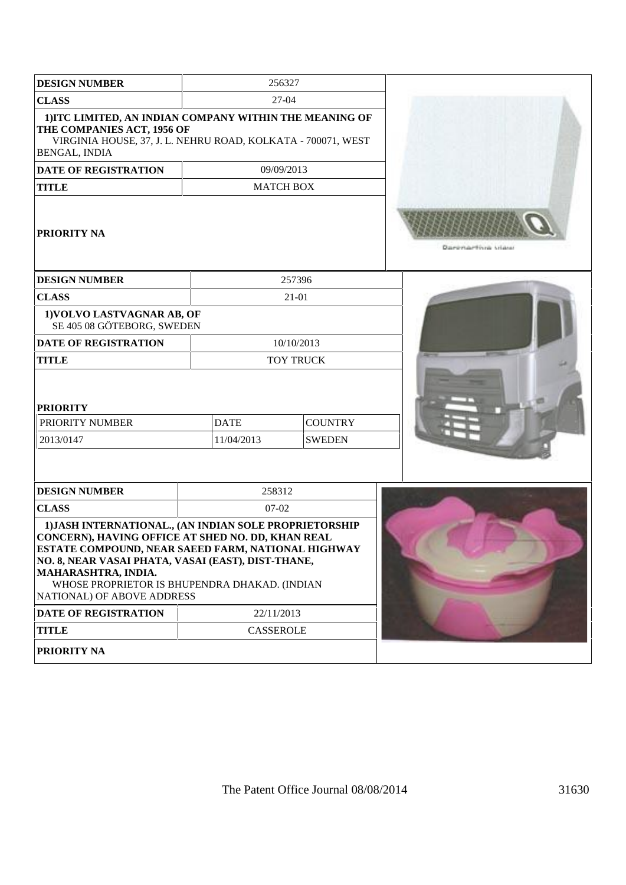| <b>DESIGN NUMBER</b><br>256327                                                                                                                                                                                                                                                                                                |             |                  |                            |
|-------------------------------------------------------------------------------------------------------------------------------------------------------------------------------------------------------------------------------------------------------------------------------------------------------------------------------|-------------|------------------|----------------------------|
| <b>CLASS</b>                                                                                                                                                                                                                                                                                                                  |             | 27-04            |                            |
| 1) ITC LIMITED, AN INDIAN COMPANY WITHIN THE MEANING OF<br>THE COMPANIES ACT, 1956 OF<br>VIRGINIA HOUSE, 37, J. L. NEHRU ROAD, KOLKATA - 700071, WEST<br><b>BENGAL, INDIA</b>                                                                                                                                                 |             |                  |                            |
| <b>DATE OF REGISTRATION</b>                                                                                                                                                                                                                                                                                                   |             | 09/09/2013       |                            |
| <b>TITLE</b>                                                                                                                                                                                                                                                                                                                  |             | <b>MATCH BOX</b> |                            |
| <b>PRIORITY NA</b>                                                                                                                                                                                                                                                                                                            |             |                  | Daugustake Histoir Arlands |
| <b>DESIGN NUMBER</b>                                                                                                                                                                                                                                                                                                          |             | 257396           |                            |
| <b>CLASS</b>                                                                                                                                                                                                                                                                                                                  |             | $21-01$          |                            |
| 1) VOLVO LASTVAGNAR AB, OF<br>SE 405 08 GÖTEBORG, SWEDEN                                                                                                                                                                                                                                                                      |             |                  |                            |
| <b>DATE OF REGISTRATION</b>                                                                                                                                                                                                                                                                                                   |             | 10/10/2013       |                            |
| <b>TITLE</b>                                                                                                                                                                                                                                                                                                                  |             | <b>TOY TRUCK</b> |                            |
| <b>PRIORITY</b>                                                                                                                                                                                                                                                                                                               |             |                  |                            |
| PRIORITY NUMBER                                                                                                                                                                                                                                                                                                               | <b>DATE</b> | <b>COUNTRY</b>   |                            |
| 2013/0147                                                                                                                                                                                                                                                                                                                     | 11/04/2013  | <b>SWEDEN</b>    |                            |
|                                                                                                                                                                                                                                                                                                                               |             |                  |                            |
| <b>DESIGN NUMBER</b>                                                                                                                                                                                                                                                                                                          | 258312      |                  |                            |
| <b>CLASS</b>                                                                                                                                                                                                                                                                                                                  | $07 - 02$   |                  |                            |
| 1) JASH INTERNATIONAL., (AN INDIAN SOLE PROPRIETORSHIP<br>CONCERN), HAVING OFFICE AT SHED NO. DD, KHAN REAL<br>ESTATE COMPOUND, NEAR SAEED FARM, NATIONAL HIGHWAY<br>NO. 8, NEAR VASAI PHATA, VASAI (EAST), DIST-THANE,<br>MAHARASHTRA, INDIA.<br>WHOSE PROPRIETOR IS BHUPENDRA DHAKAD. (INDIAN<br>NATIONAL) OF ABOVE ADDRESS |             |                  |                            |
| <b>DATE OF REGISTRATION</b><br>22/11/2013                                                                                                                                                                                                                                                                                     |             |                  |                            |
| <b>TITLE</b>                                                                                                                                                                                                                                                                                                                  | CASSEROLE   |                  |                            |
| PRIORITY NA                                                                                                                                                                                                                                                                                                                   |             |                  |                            |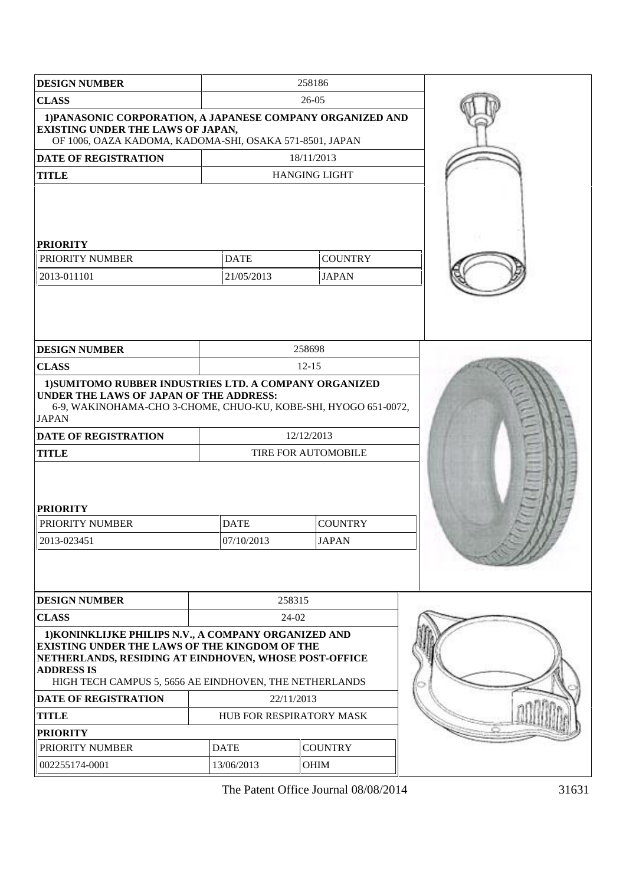| <b>DESIGN NUMBER</b>                                                                                                                                                                                                                                                                |                           | 258186                         |  |
|-------------------------------------------------------------------------------------------------------------------------------------------------------------------------------------------------------------------------------------------------------------------------------------|---------------------------|--------------------------------|--|
| <b>CLASS</b>                                                                                                                                                                                                                                                                        |                           | 26-05                          |  |
| 1) PANASONIC CORPORATION, A JAPANESE COMPANY ORGANIZED AND<br><b>EXISTING UNDER THE LAWS OF JAPAN,</b><br>OF 1006, OAZA KADOMA, KADOMA-SHI, OSAKA 571-8501, JAPAN                                                                                                                   |                           |                                |  |
| <b>DATE OF REGISTRATION</b>                                                                                                                                                                                                                                                         |                           | 18/11/2013                     |  |
| <b>TITLE</b>                                                                                                                                                                                                                                                                        |                           | <b>HANGING LIGHT</b>           |  |
| <b>PRIORITY</b><br>PRIORITY NUMBER<br>2013-011101                                                                                                                                                                                                                                   | <b>DATE</b><br>21/05/2013 | <b>COUNTRY</b><br><b>JAPAN</b> |  |
|                                                                                                                                                                                                                                                                                     |                           |                                |  |
| <b>DESIGN NUMBER</b>                                                                                                                                                                                                                                                                |                           | 258698                         |  |
| <b>CLASS</b><br>1) SUMITOMO RUBBER INDUSTRIES LTD. A COMPANY ORGANIZED                                                                                                                                                                                                              |                           | $12 - 15$                      |  |
| 6-9, WAKINOHAMA-CHO 3-CHOME, CHUO-KU, KOBE-SHI, HYOGO 651-0072,<br><b>JAPAN</b><br><b>DATE OF REGISTRATION</b><br><b>TITLE</b><br><b>PRIORITY</b><br>PRIORITY NUMBER<br>2013-023451                                                                                                 |                           |                                |  |
| <b>DESIGN NUMBER</b>                                                                                                                                                                                                                                                                | 07/10/2013                | <b>JAPAN</b><br>258315         |  |
| <b>CLASS</b>                                                                                                                                                                                                                                                                        |                           | 24-02                          |  |
| 1) KONINKLIJKE PHILIPS N.V., A COMPANY ORGANIZED AND<br><b>EXISTING UNDER THE LAWS OF THE KINGDOM OF THE</b><br>NETHERLANDS, RESIDING AT EINDHOVEN, WHOSE POST-OFFICE<br><b>ADDRESS IS</b><br>HIGH TECH CAMPUS 5, 5656 AE EINDHOVEN, THE NETHERLANDS<br><b>DATE OF REGISTRATION</b> |                           | 22/11/2013                     |  |
| <b>TITLE</b>                                                                                                                                                                                                                                                                        |                           | HUB FOR RESPIRATORY MASK       |  |
| <b>PRIORITY</b>                                                                                                                                                                                                                                                                     |                           |                                |  |
| PRIORITY NUMBER                                                                                                                                                                                                                                                                     | <b>DATE</b>               | <b>COUNTRY</b>                 |  |
| 002255174-0001                                                                                                                                                                                                                                                                      | 13/06/2013                | OHIM                           |  |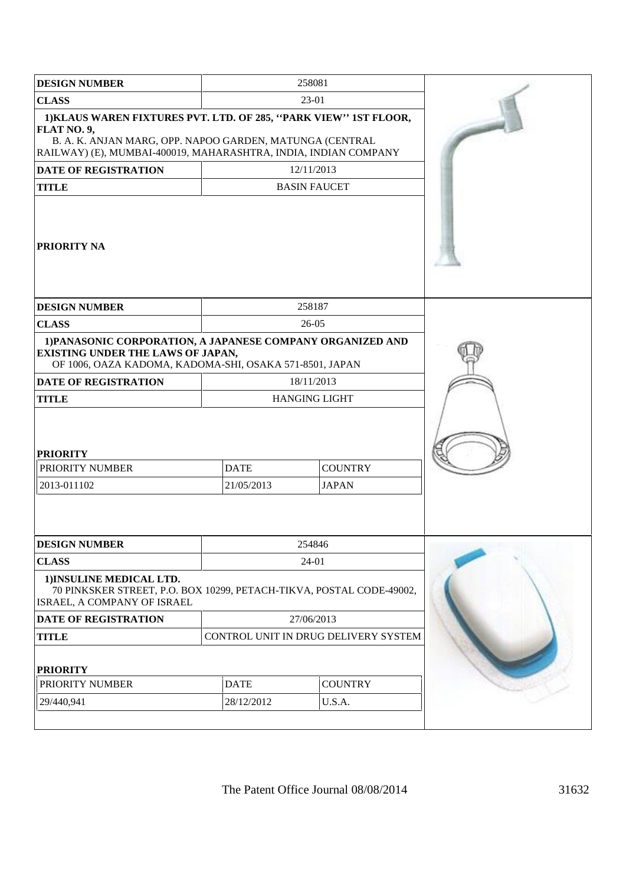| <b>DESIGN NUMBER</b>                                                                                                                                                                                           |                           | 258081                               |  |
|----------------------------------------------------------------------------------------------------------------------------------------------------------------------------------------------------------------|---------------------------|--------------------------------------|--|
| <b>CLASS</b>                                                                                                                                                                                                   |                           | 23-01                                |  |
| 1) KLAUS WAREN FIXTURES PVT. LTD. OF 285, "PARK VIEW" 1ST FLOOR,<br>FLAT NO. 9,<br>B. A. K. ANJAN MARG, OPP. NAPOO GARDEN, MATUNGA (CENTRAL<br>RAILWAY) (E), MUMBAI-400019, MAHARASHTRA, INDIA, INDIAN COMPANY |                           |                                      |  |
| <b>DATE OF REGISTRATION</b>                                                                                                                                                                                    |                           | 12/11/2013                           |  |
| <b>TITLE</b>                                                                                                                                                                                                   |                           | <b>BASIN FAUCET</b>                  |  |
| PRIORITY NA                                                                                                                                                                                                    |                           |                                      |  |
| <b>DESIGN NUMBER</b>                                                                                                                                                                                           |                           | 258187                               |  |
| <b>CLASS</b>                                                                                                                                                                                                   |                           | $26-05$                              |  |
| 1) PANASONIC CORPORATION, A JAPANESE COMPANY ORGANIZED AND<br><b>EXISTING UNDER THE LAWS OF JAPAN,</b><br>OF 1006, OAZA KADOMA, KADOMA-SHI, OSAKA 571-8501, JAPAN                                              |                           |                                      |  |
| <b>DATE OF REGISTRATION</b>                                                                                                                                                                                    |                           | 18/11/2013                           |  |
| <b>TITLE</b>                                                                                                                                                                                                   |                           | <b>HANGING LIGHT</b>                 |  |
| <b>PRIORITY</b><br>PRIORITY NUMBER<br>2013-011102                                                                                                                                                              | <b>DATE</b><br>21/05/2013 | <b>COUNTRY</b><br><b>JAPAN</b>       |  |
| <b>DESIGN NUMBER</b>                                                                                                                                                                                           |                           | 254846                               |  |
| <b>CLASS</b>                                                                                                                                                                                                   |                           | 24-01                                |  |
| 1) INSULINE MEDICAL LTD.<br>70 PINKSKER STREET, P.O. BOX 10299, PETACH-TIKVA, POSTAL CODE-49002,<br>ISRAEL, A COMPANY OF ISRAEL                                                                                |                           |                                      |  |
| DATE OF REGISTRATION                                                                                                                                                                                           |                           | 27/06/2013                           |  |
| <b>TITLE</b>                                                                                                                                                                                                   |                           | CONTROL UNIT IN DRUG DELIVERY SYSTEM |  |
| <b>PRIORITY</b>                                                                                                                                                                                                |                           |                                      |  |
| PRIORITY NUMBER                                                                                                                                                                                                | <b>DATE</b>               | <b>COUNTRY</b>                       |  |
| 29/440,941                                                                                                                                                                                                     | 28/12/2012                | U.S.A.                               |  |
|                                                                                                                                                                                                                |                           |                                      |  |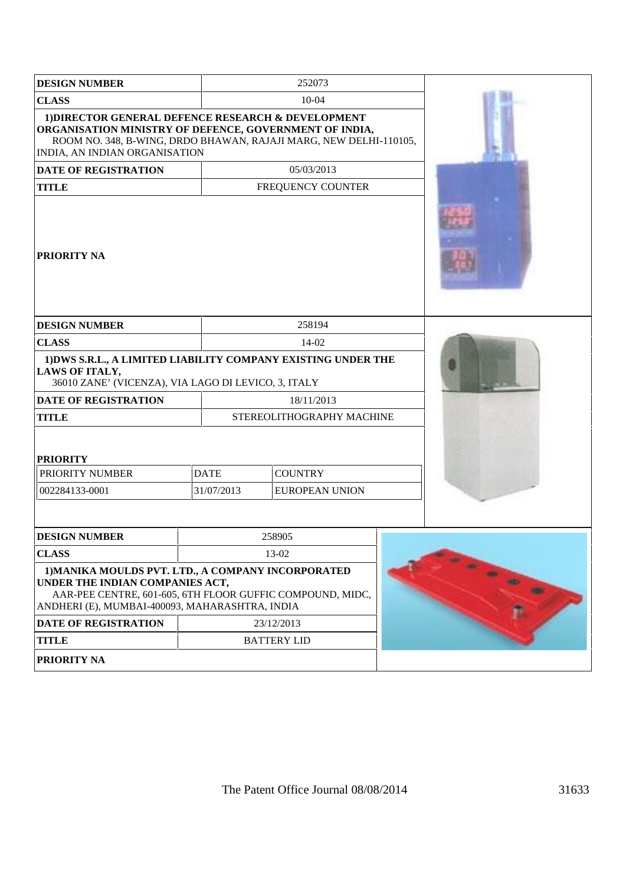| <b>DESIGN NUMBER</b>                                                                                                                                                                                               |             | 252073                    |                       |  |  |
|--------------------------------------------------------------------------------------------------------------------------------------------------------------------------------------------------------------------|-------------|---------------------------|-----------------------|--|--|
| <b>CLASS</b>                                                                                                                                                                                                       |             |                           | $10-04$               |  |  |
| 1) DIRECTOR GENERAL DEFENCE RESEARCH & DEVELOPMENT<br>ORGANISATION MINISTRY OF DEFENCE, GOVERNMENT OF INDIA,<br>ROOM NO. 348, B-WING, DRDO BHAWAN, RAJAJI MARG, NEW DELHI-110105,<br>INDIA, AN INDIAN ORGANISATION |             |                           |                       |  |  |
| <b>DATE OF REGISTRATION</b>                                                                                                                                                                                        |             |                           | 05/03/2013            |  |  |
| <b>TITLE</b>                                                                                                                                                                                                       |             |                           | FREQUENCY COUNTER     |  |  |
| <b>PRIORITY NA</b>                                                                                                                                                                                                 |             |                           |                       |  |  |
| <b>DESIGN NUMBER</b>                                                                                                                                                                                               |             | 258194                    |                       |  |  |
| <b>CLASS</b>                                                                                                                                                                                                       |             |                           | 14-02                 |  |  |
| 1) DWS S.R.L., A LIMITED LIABILITY COMPANY EXISTING UNDER THE<br><b>LAWS OF ITALY,</b><br>36010 ZANE' (VICENZA), VIA LAGO DI LEVICO, 3, ITALY                                                                      |             |                           |                       |  |  |
| <b>DATE OF REGISTRATION</b>                                                                                                                                                                                        |             | 18/11/2013                |                       |  |  |
| <b>TITLE</b>                                                                                                                                                                                                       |             | STEREOLITHOGRAPHY MACHINE |                       |  |  |
| <b>PRIORITY</b>                                                                                                                                                                                                    |             |                           |                       |  |  |
| PRIORITY NUMBER                                                                                                                                                                                                    | <b>DATE</b> |                           | <b>COUNTRY</b>        |  |  |
| 002284133-0001                                                                                                                                                                                                     |             | 31/07/2013                | <b>EUROPEAN UNION</b> |  |  |
|                                                                                                                                                                                                                    |             |                           |                       |  |  |
| <b>DESIGN NUMBER</b>                                                                                                                                                                                               |             | 258905                    |                       |  |  |
| <b>CLASS</b>                                                                                                                                                                                                       |             | 13-02                     |                       |  |  |
| 1) MANIKA MOULDS PVT. LTD., A COMPANY INCORPORATED<br>UNDER THE INDIAN COMPANIES ACT,<br>AAR-PEE CENTRE, 601-605, 6TH FLOOR GUFFIC COMPOUND, MIDC,<br>ANDHERI (E), MUMBAI-400093, MAHARASHTRA, INDIA               |             |                           |                       |  |  |
| <b>DATE OF REGISTRATION</b>                                                                                                                                                                                        |             |                           | 23/12/2013            |  |  |
| <b>TITLE</b>                                                                                                                                                                                                       |             |                           | <b>BATTERY LID</b>    |  |  |
| PRIORITY NA                                                                                                                                                                                                        |             |                           |                       |  |  |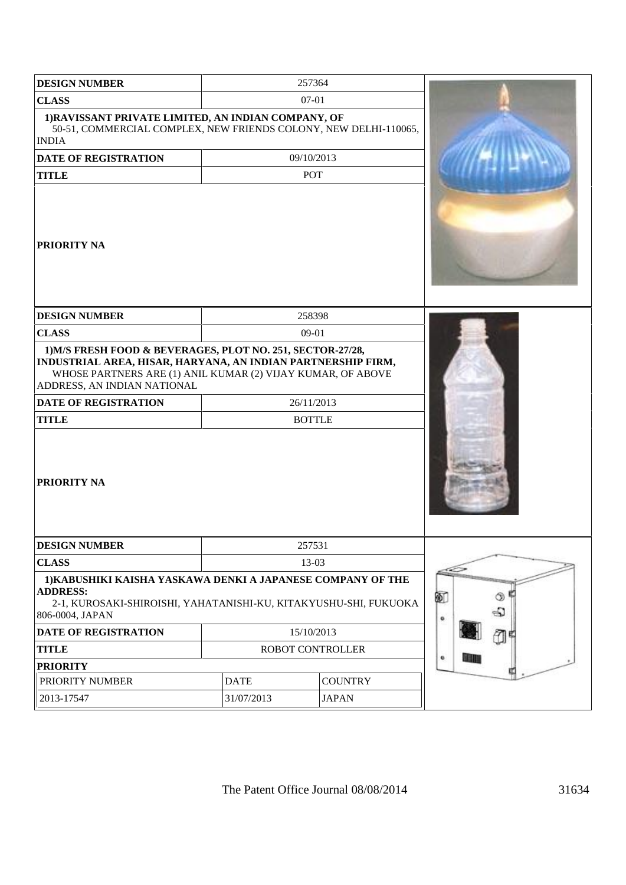| <b>DESIGN NUMBER</b>                                                                                                                                                  |                                                                                                                                                                                                                          | 257364           |              |
|-----------------------------------------------------------------------------------------------------------------------------------------------------------------------|--------------------------------------------------------------------------------------------------------------------------------------------------------------------------------------------------------------------------|------------------|--------------|
| <b>CLASS</b>                                                                                                                                                          |                                                                                                                                                                                                                          | 07-01            |              |
| 1) RAVISSANT PRIVATE LIMITED, AN INDIAN COMPANY, OF<br>50-51, COMMERCIAL COMPLEX, NEW FRIENDS COLONY, NEW DELHI-110065,<br><b>INDIA</b>                               |                                                                                                                                                                                                                          |                  |              |
| <b>DATE OF REGISTRATION</b>                                                                                                                                           |                                                                                                                                                                                                                          | 09/10/2013       |              |
| <b>TITLE</b>                                                                                                                                                          |                                                                                                                                                                                                                          | POT              |              |
| <b>PRIORITY NA</b>                                                                                                                                                    |                                                                                                                                                                                                                          |                  |              |
| <b>DESIGN NUMBER</b>                                                                                                                                                  |                                                                                                                                                                                                                          | 258398           |              |
| <b>CLASS</b>                                                                                                                                                          |                                                                                                                                                                                                                          | 09-01            |              |
| ADDRESS, AN INDIAN NATIONAL<br><b>DATE OF REGISTRATION</b><br><b>TITLE</b>                                                                                            | 1) M/S FRESH FOOD & BEVERAGES, PLOT NO. 251, SECTOR-27/28,<br>INDUSTRIAL AREA, HISAR, HARYANA, AN INDIAN PARTNERSHIP FIRM,<br>WHOSE PARTNERS ARE (1) ANIL KUMAR (2) VIJAY KUMAR, OF ABOVE<br>26/11/2013<br><b>BOTTLE</b> |                  |              |
| <b>PRIORITY NA</b>                                                                                                                                                    |                                                                                                                                                                                                                          |                  |              |
| <b>DESIGN NUMBER</b>                                                                                                                                                  |                                                                                                                                                                                                                          | 257531           |              |
| <b>CLASS</b>                                                                                                                                                          |                                                                                                                                                                                                                          | 13-03            |              |
| 1) KABUSHIKI KAISHA YASKAWA DENKI A JAPANESE COMPANY OF THE<br><b>ADDRESS:</b><br>2-1, KUROSAKI-SHIROISHI, YAHATANISHI-KU, KITAKYUSHU-SHI, FUKUOKA<br>806-0004, JAPAN |                                                                                                                                                                                                                          |                  | Ø<br>O)<br>€ |
| DATE OF REGISTRATION                                                                                                                                                  |                                                                                                                                                                                                                          | 15/10/2013       | ۰            |
| <b>TITLE</b>                                                                                                                                                          |                                                                                                                                                                                                                          | ROBOT CONTROLLER |              |
| <b>PRIORITY</b>                                                                                                                                                       |                                                                                                                                                                                                                          |                  | ۰<br>江田田     |
| PRIORITY NUMBER                                                                                                                                                       | <b>DATE</b>                                                                                                                                                                                                              | <b>COUNTRY</b>   |              |
| 2013-17547                                                                                                                                                            | 31/07/2013                                                                                                                                                                                                               | <b>JAPAN</b>     |              |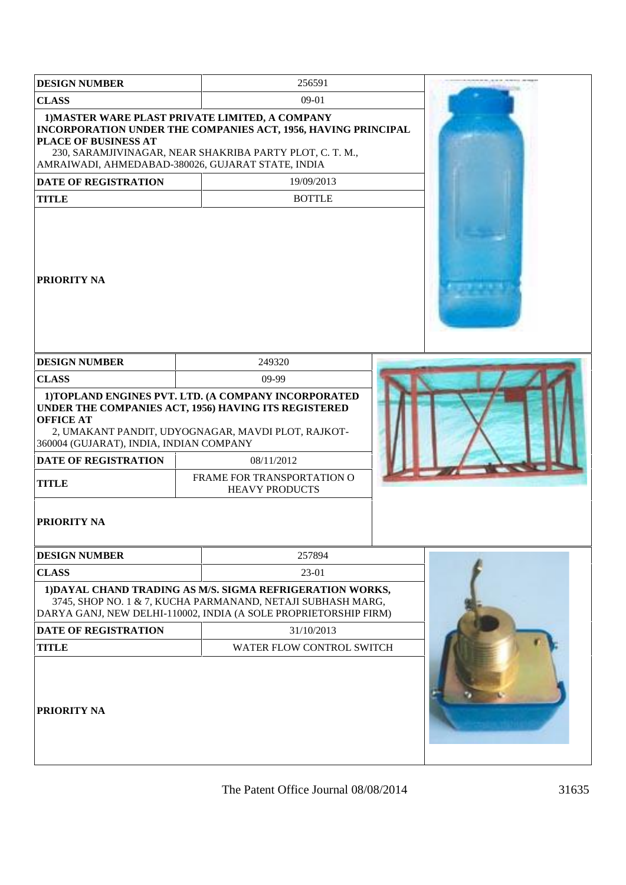| <b>DESIGN NUMBER</b>                                                                                                             | 256591                                                                                                                                                                                                                                  |  |  |
|----------------------------------------------------------------------------------------------------------------------------------|-----------------------------------------------------------------------------------------------------------------------------------------------------------------------------------------------------------------------------------------|--|--|
| <b>CLASS</b>                                                                                                                     | 09-01                                                                                                                                                                                                                                   |  |  |
| 1) MASTER WARE PLAST PRIVATE LIMITED, A COMPANY<br>PLACE OF BUSINESS AT<br>AMRAIWADI, AHMEDABAD-380026, GUJARAT STATE, INDIA     | INCORPORATION UNDER THE COMPANIES ACT, 1956, HAVING PRINCIPAL<br>230, SARAMJIVINAGAR, NEAR SHAKRIBA PARTY PLOT, C. T. M.,                                                                                                               |  |  |
| <b>DATE OF REGISTRATION</b>                                                                                                      | 19/09/2013                                                                                                                                                                                                                              |  |  |
| <b>TITLE</b>                                                                                                                     | <b>BOTTLE</b>                                                                                                                                                                                                                           |  |  |
| <b>PRIORITY NA</b>                                                                                                               |                                                                                                                                                                                                                                         |  |  |
| <b>DESIGN NUMBER</b>                                                                                                             | 249320                                                                                                                                                                                                                                  |  |  |
| <b>CLASS</b>                                                                                                                     | 09-99                                                                                                                                                                                                                                   |  |  |
| <b>OFFICE AT</b><br>360004 (GUJARAT), INDIA, INDIAN COMPANY<br><b>DATE OF REGISTRATION</b><br><b>TITLE</b><br><b>PRIORITY NA</b> | 1) TOPLAND ENGINES PVT. LTD. (A COMPANY INCORPORATED<br>UNDER THE COMPANIES ACT, 1956) HAVING ITS REGISTERED<br>2, UMAKANT PANDIT, UDYOGNAGAR, MAVDI PLOT, RAJKOT-<br>08/11/2012<br>FRAME FOR TRANSPORTATION O<br><b>HEAVY PRODUCTS</b> |  |  |
| <b>DESIGN NUMBER</b>                                                                                                             | 257894                                                                                                                                                                                                                                  |  |  |
| <b>CLASS</b>                                                                                                                     | 23-01<br>1) DAYAL CHAND TRADING AS M/S. SIGMA REFRIGERATION WORKS,<br>3745, SHOP NO. 1 & 7, KUCHA PARMANAND, NETAJI SUBHASH MARG,<br>DARYA GANJ, NEW DELHI-110002, INDIA (A SOLE PROPRIETORSHIP FIRM)                                   |  |  |
| <b>DATE OF REGISTRATION</b>                                                                                                      | 31/10/2013                                                                                                                                                                                                                              |  |  |
| <b>TITLE</b>                                                                                                                     | WATER FLOW CONTROL SWITCH                                                                                                                                                                                                               |  |  |
| PRIORITY NA                                                                                                                      |                                                                                                                                                                                                                                         |  |  |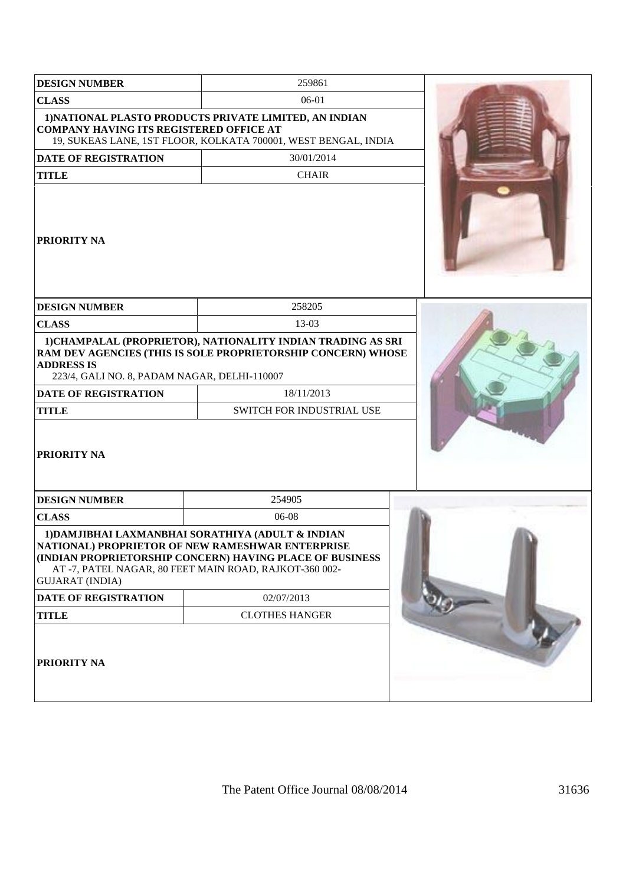| <b>DESIGN NUMBER</b>                                                                                             | 259861                                                                                                                                                                                                                      |  |
|------------------------------------------------------------------------------------------------------------------|-----------------------------------------------------------------------------------------------------------------------------------------------------------------------------------------------------------------------------|--|
| <b>CLASS</b>                                                                                                     | 06-01                                                                                                                                                                                                                       |  |
| <b>COMPANY HAVING ITS REGISTERED OFFICE AT</b>                                                                   | 1) NATIONAL PLASTO PRODUCTS PRIVATE LIMITED, AN INDIAN<br>19, SUKEAS LANE, 1ST FLOOR, KOLKATA 700001, WEST BENGAL, INDIA                                                                                                    |  |
| <b>DATE OF REGISTRATION</b>                                                                                      | 30/01/2014                                                                                                                                                                                                                  |  |
| <b>TITLE</b>                                                                                                     | <b>CHAIR</b>                                                                                                                                                                                                                |  |
| <b>PRIORITY NA</b>                                                                                               |                                                                                                                                                                                                                             |  |
| <b>DESIGN NUMBER</b>                                                                                             | 258205                                                                                                                                                                                                                      |  |
| <b>CLASS</b>                                                                                                     | 13-03                                                                                                                                                                                                                       |  |
| <b>ADDRESS IS</b><br>223/4, GALI NO. 8, PADAM NAGAR, DELHI-110007<br><b>DATE OF REGISTRATION</b><br><b>TITLE</b> | 1) CHAMPALAL (PROPRIETOR), NATIONALITY INDIAN TRADING AS SRI<br>RAM DEV AGENCIES (THIS IS SOLE PROPRIETORSHIP CONCERN) WHOSE<br>18/11/2013<br>SWITCH FOR INDUSTRIAL USE                                                     |  |
| <b>PRIORITY NA</b>                                                                                               |                                                                                                                                                                                                                             |  |
| <b>DESIGN NUMBER</b>                                                                                             | 254905                                                                                                                                                                                                                      |  |
| <b>CLASS</b>                                                                                                     | 06-08                                                                                                                                                                                                                       |  |
| <b>GUJARAT (INDIA)</b>                                                                                           | 1) DAMJIBHAI LAXMANBHAI SORATHIYA (ADULT & INDIAN<br>NATIONAL) PROPRIETOR OF NEW RAMESHWAR ENTERPRISE<br>(INDIAN PROPRIETORSHIP CONCERN) HAVING PLACE OF BUSINESS<br>AT -7, PATEL NAGAR, 80 FEET MAIN ROAD, RAJKOT-360 002- |  |
| <b>DATE OF REGISTRATION</b>                                                                                      | 02/07/2013                                                                                                                                                                                                                  |  |
| <b>TITLE</b>                                                                                                     | <b>CLOTHES HANGER</b>                                                                                                                                                                                                       |  |
| <b>PRIORITY NA</b>                                                                                               |                                                                                                                                                                                                                             |  |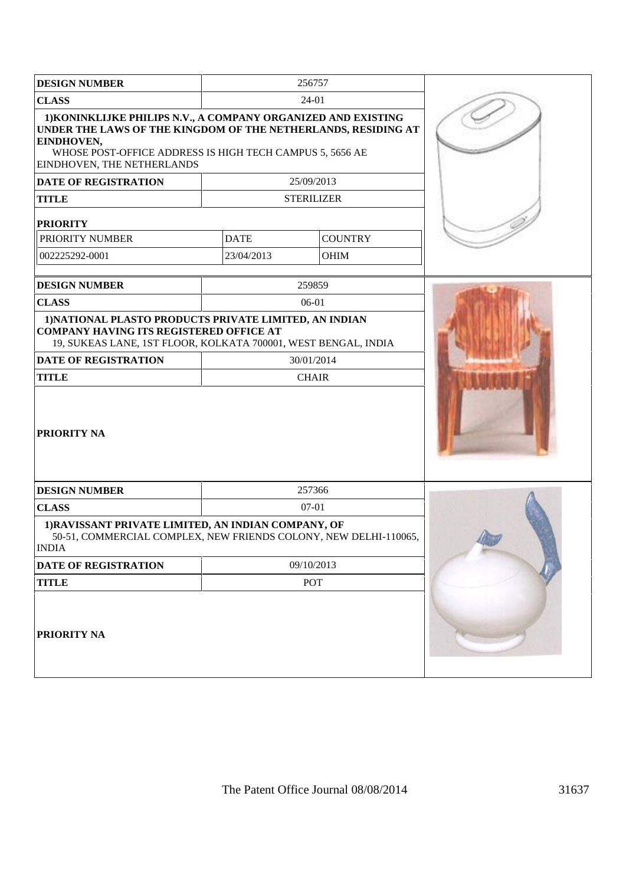| <b>DESIGN NUMBER</b>                                                                                                                                                                                                                                                           |             | 256757                          |  |
|--------------------------------------------------------------------------------------------------------------------------------------------------------------------------------------------------------------------------------------------------------------------------------|-------------|---------------------------------|--|
| <b>CLASS</b>                                                                                                                                                                                                                                                                   |             | 24-01                           |  |
| 1) KONINKLIJKE PHILIPS N.V., A COMPANY ORGANIZED AND EXISTING<br>UNDER THE LAWS OF THE KINGDOM OF THE NETHERLANDS, RESIDING AT<br>EINDHOVEN,<br>WHOSE POST-OFFICE ADDRESS IS HIGH TECH CAMPUS 5, 5656 AE<br>EINDHOVEN, THE NETHERLANDS<br>DATE OF REGISTRATION<br><b>TITLE</b> |             | 25/09/2013<br><b>STERILIZER</b> |  |
|                                                                                                                                                                                                                                                                                |             |                                 |  |
| <b>PRIORITY</b><br>PRIORITY NUMBER                                                                                                                                                                                                                                             | <b>DATE</b> | <b>COUNTRY</b>                  |  |
| 002225292-0001                                                                                                                                                                                                                                                                 | 23/04/2013  | <b>OHIM</b>                     |  |
|                                                                                                                                                                                                                                                                                |             |                                 |  |
| <b>DESIGN NUMBER</b>                                                                                                                                                                                                                                                           |             | 259859                          |  |
| <b>CLASS</b>                                                                                                                                                                                                                                                                   |             | 06-01                           |  |
| 1) NATIONAL PLASTO PRODUCTS PRIVATE LIMITED, AN INDIAN<br><b>COMPANY HAVING ITS REGISTERED OFFICE AT</b><br>19, SUKEAS LANE, 1ST FLOOR, KOLKATA 700001, WEST BENGAL, INDIA                                                                                                     |             |                                 |  |
| <b>DATE OF REGISTRATION</b>                                                                                                                                                                                                                                                    |             | 30/01/2014                      |  |
| <b>TITLE</b>                                                                                                                                                                                                                                                                   |             | <b>CHAIR</b>                    |  |
| PRIORITY NA                                                                                                                                                                                                                                                                    |             |                                 |  |
| <b>DESIGN NUMBER</b>                                                                                                                                                                                                                                                           |             | 257366                          |  |
| <b>CLASS</b>                                                                                                                                                                                                                                                                   |             |                                 |  |
| 1) RAVISSANT PRIVATE LIMITED, AN INDIAN COMPANY, OF<br>50-51, COMMERCIAL COMPLEX, NEW FRIENDS COLONY, NEW DELHI-110065,<br><b>INDIA</b>                                                                                                                                        |             |                                 |  |
| DATE OF REGISTRATION                                                                                                                                                                                                                                                           |             | 09/10/2013                      |  |
| <b>TITLE</b>                                                                                                                                                                                                                                                                   |             | POT                             |  |
| PRIORITY NA                                                                                                                                                                                                                                                                    |             |                                 |  |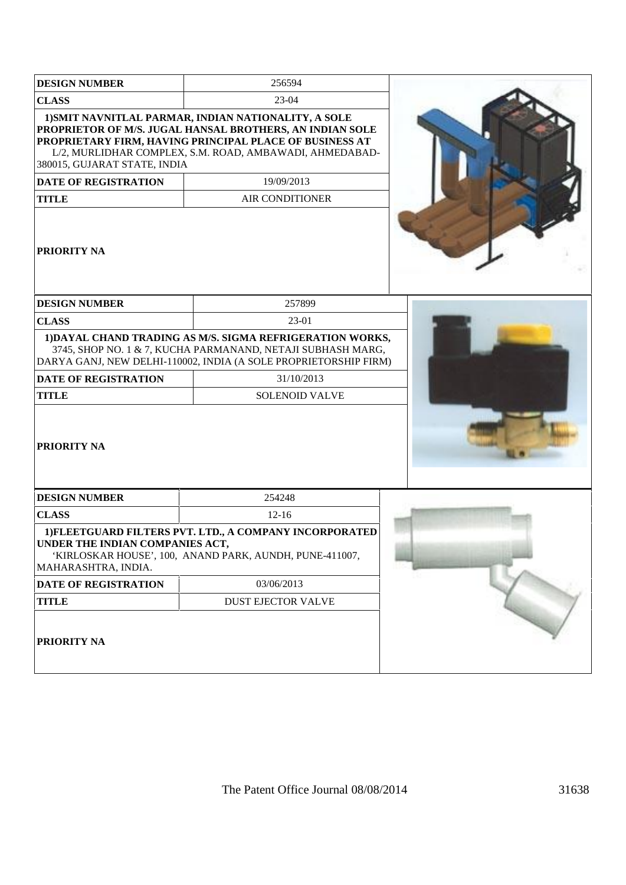| <b>DESIGN NUMBER</b>                                                        | 256594                                                                                                                                                                                                                                                                         |  |
|-----------------------------------------------------------------------------|--------------------------------------------------------------------------------------------------------------------------------------------------------------------------------------------------------------------------------------------------------------------------------|--|
| <b>CLASS</b>                                                                | 23-04                                                                                                                                                                                                                                                                          |  |
| 380015, GUJARAT STATE, INDIA<br><b>DATE OF REGISTRATION</b><br><b>TITLE</b> | 1) SMIT NAVNITLAL PARMAR, INDIAN NATIONALITY, A SOLE<br>PROPRIETOR OF M/S. JUGAL HANSAL BROTHERS, AN INDIAN SOLE<br>PROPRIETARY FIRM, HAVING PRINCIPAL PLACE OF BUSINESS AT<br>L/2, MURLIDHAR COMPLEX, S.M. ROAD, AMBAWADI, AHMEDABAD-<br>19/09/2013<br><b>AIR CONDITIONER</b> |  |
| PRIORITY NA                                                                 |                                                                                                                                                                                                                                                                                |  |
| <b>DESIGN NUMBER</b>                                                        | 257899                                                                                                                                                                                                                                                                         |  |
| <b>CLASS</b>                                                                | 23-01                                                                                                                                                                                                                                                                          |  |
|                                                                             | 1) DAYAL CHAND TRADING AS M/S. SIGMA REFRIGERATION WORKS,<br>3745, SHOP NO. 1 & 7, KUCHA PARMANAND, NETAJI SUBHASH MARG,<br>DARYA GANJ, NEW DELHI-110002, INDIA (A SOLE PROPRIETORSHIP FIRM)                                                                                   |  |
| <b>DATE OF REGISTRATION</b>                                                 | 31/10/2013                                                                                                                                                                                                                                                                     |  |
| <b>TITLE</b>                                                                | <b>SOLENOID VALVE</b>                                                                                                                                                                                                                                                          |  |
| PRIORITY NA                                                                 |                                                                                                                                                                                                                                                                                |  |
| <b>DESIGN NUMBER</b>                                                        | 254248                                                                                                                                                                                                                                                                         |  |
| <b>CLASS</b>                                                                | $12-16$                                                                                                                                                                                                                                                                        |  |
| UNDER THE INDIAN COMPANIES ACT,<br>MAHARASHTRA, INDIA.                      | 1) FLEETGUARD FILTERS PVT. LTD., A COMPANY INCORPORATED<br>'KIRLOSKAR HOUSE', 100, ANAND PARK, AUNDH, PUNE-411007,                                                                                                                                                             |  |
| <b>DATE OF REGISTRATION</b>                                                 | 03/06/2013                                                                                                                                                                                                                                                                     |  |
| <b>TITLE</b>                                                                | DUST EJECTOR VALVE                                                                                                                                                                                                                                                             |  |
| PRIORITY NA                                                                 |                                                                                                                                                                                                                                                                                |  |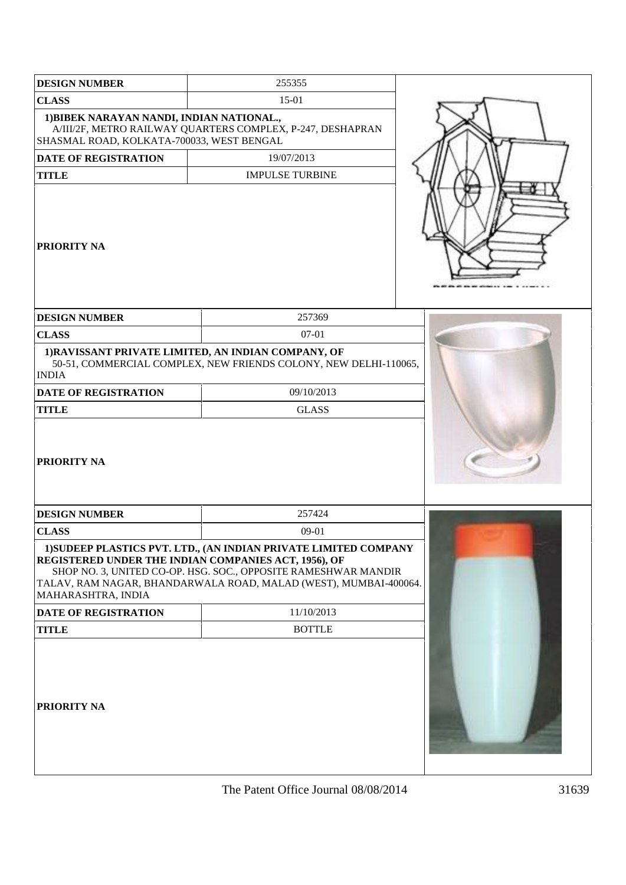| <b>DESIGN NUMBER</b>                                                                   | 255355                                                                                                                                                                                                 |  |
|----------------------------------------------------------------------------------------|--------------------------------------------------------------------------------------------------------------------------------------------------------------------------------------------------------|--|
| <b>CLASS</b>                                                                           | $15-01$                                                                                                                                                                                                |  |
| 1) BIBEK NARAYAN NANDI, INDIAN NATIONAL.,<br>SHASMAL ROAD, KOLKATA-700033, WEST BENGAL | A/III/2F, METRO RAILWAY QUARTERS COMPLEX, P-247, DESHAPRAN                                                                                                                                             |  |
| <b>DATE OF REGISTRATION</b>                                                            | 19/07/2013                                                                                                                                                                                             |  |
| <b>TITLE</b>                                                                           | <b>IMPULSE TURBINE</b>                                                                                                                                                                                 |  |
| <b>PRIORITY NA</b>                                                                     |                                                                                                                                                                                                        |  |
| <b>DESIGN NUMBER</b>                                                                   | 257369                                                                                                                                                                                                 |  |
| <b>CLASS</b>                                                                           | 07-01                                                                                                                                                                                                  |  |
| 1) RAVISSANT PRIVATE LIMITED, AN INDIAN COMPANY, OF<br><b>INDIA</b>                    | 50-51, COMMERCIAL COMPLEX, NEW FRIENDS COLONY, NEW DELHI-110065,                                                                                                                                       |  |
| <b>DATE OF REGISTRATION</b>                                                            | 09/10/2013                                                                                                                                                                                             |  |
| <b>TITLE</b>                                                                           | <b>GLASS</b>                                                                                                                                                                                           |  |
| <b>PRIORITY NA</b>                                                                     |                                                                                                                                                                                                        |  |
| <b>DESIGN NUMBER</b>                                                                   | 257424                                                                                                                                                                                                 |  |
| <b>CLASS</b>                                                                           | $09-01$                                                                                                                                                                                                |  |
| REGISTERED UNDER THE INDIAN COMPANIES ACT, 1956), OF<br>MAHARASHTRA, INDIA             | 1) SUDEEP PLASTICS PVT. LTD., (AN INDIAN PRIVATE LIMITED COMPANY<br>SHOP NO. 3, UNITED CO-OP. HSG. SOC., OPPOSITE RAMESHWAR MANDIR<br>TALAV, RAM NAGAR, BHANDARWALA ROAD, MALAD (WEST), MUMBAI-400064. |  |
| DATE OF REGISTRATION                                                                   | 11/10/2013                                                                                                                                                                                             |  |
| <b>TITLE</b>                                                                           | <b>BOTTLE</b>                                                                                                                                                                                          |  |
| PRIORITY NA                                                                            |                                                                                                                                                                                                        |  |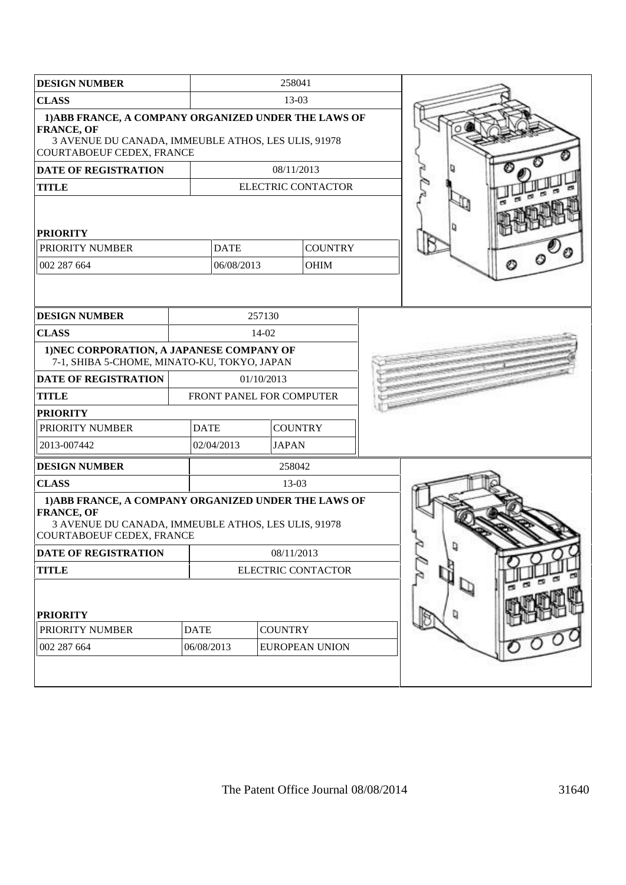| <b>DESIGN NUMBER</b>                                                                                                                                          |             |                          | 258041         |                       |  |  |
|---------------------------------------------------------------------------------------------------------------------------------------------------------------|-------------|--------------------------|----------------|-----------------------|--|--|
| <b>CLASS</b>                                                                                                                                                  |             | 13-03                    |                |                       |  |  |
| 1) ABB FRANCE, A COMPANY ORGANIZED UNDER THE LAWS OF<br><b>FRANCE, OF</b><br>3 AVENUE DU CANADA, IMMEUBLE ATHOS, LES ULIS, 91978<br>COURTABOEUF CEDEX, FRANCE |             |                          |                |                       |  |  |
| <b>DATE OF REGISTRATION</b>                                                                                                                                   |             |                          | 08/11/2013     |                       |  |  |
| <b>TITLE</b>                                                                                                                                                  |             |                          |                | ELECTRIC CONTACTOR    |  |  |
| <b>PRIORITY</b>                                                                                                                                               |             |                          |                |                       |  |  |
| PRIORITY NUMBER                                                                                                                                               |             | <b>DATE</b>              |                | <b>COUNTRY</b>        |  |  |
| 002 287 664                                                                                                                                                   |             | 06/08/2013               |                | OHIM                  |  |  |
|                                                                                                                                                               |             |                          |                |                       |  |  |
| <b>DESIGN NUMBER</b>                                                                                                                                          |             |                          | 257130         |                       |  |  |
| <b>CLASS</b>                                                                                                                                                  |             |                          | 14-02          |                       |  |  |
| 1) NEC CORPORATION, A JAPANESE COMPANY OF<br>7-1, SHIBA 5-CHOME, MINATO-KU, TOKYO, JAPAN                                                                      |             |                          |                |                       |  |  |
| <b>DATE OF REGISTRATION</b>                                                                                                                                   |             | 01/10/2013               |                |                       |  |  |
| <b>TITLE</b>                                                                                                                                                  |             | FRONT PANEL FOR COMPUTER |                |                       |  |  |
| <b>PRIORITY</b>                                                                                                                                               |             |                          |                |                       |  |  |
| PRIORITY NUMBER                                                                                                                                               | <b>DATE</b> |                          | <b>COUNTRY</b> |                       |  |  |
| 2013-007442                                                                                                                                                   |             | 02/04/2013               | <b>JAPAN</b>   |                       |  |  |
| <b>DESIGN NUMBER</b>                                                                                                                                          |             |                          | 258042         |                       |  |  |
| <b>CLASS</b>                                                                                                                                                  |             |                          | $13-03$        |                       |  |  |
| 1) ABB FRANCE, A COMPANY ORGANIZED UNDER THE LAWS OF<br><b>FRANCE, OF</b><br>3 AVENUE DU CANADA, IMMEUBLE ATHOS, LES ULIS, 91978<br>COURTABOEUF CEDEX, FRANCE |             |                          |                |                       |  |  |
| <b>DATE OF REGISTRATION</b>                                                                                                                                   |             | 08/11/2013               |                |                       |  |  |
| <b>TITLE</b>                                                                                                                                                  |             | ELECTRIC CONTACTOR       |                |                       |  |  |
| <b>PRIORITY</b><br>PRIORITY NUMBER                                                                                                                            | <b>DATE</b> |                          | <b>COUNTRY</b> |                       |  |  |
| 002 287 664                                                                                                                                                   | 06/08/2013  |                          |                | <b>EUROPEAN UNION</b> |  |  |
|                                                                                                                                                               |             |                          |                |                       |  |  |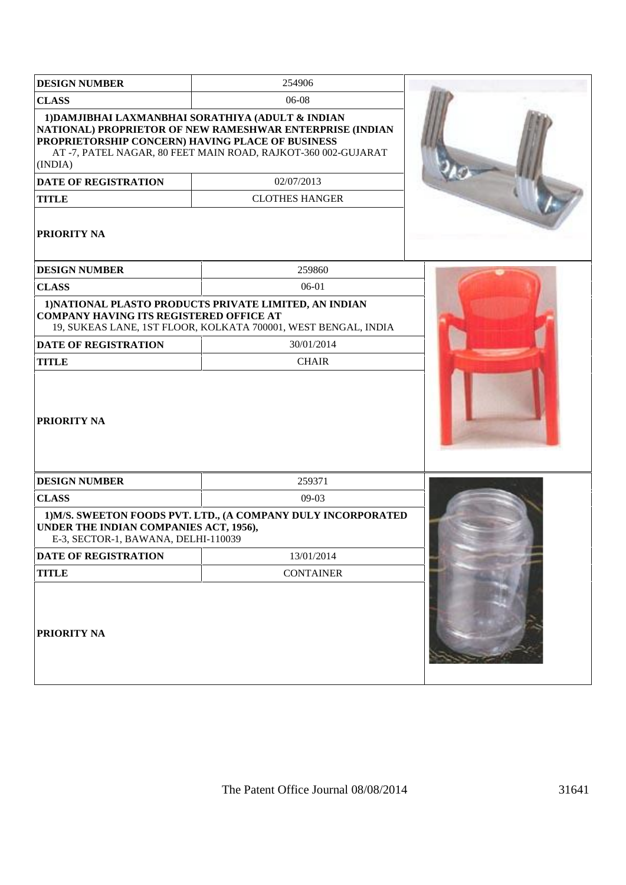| <b>DESIGN NUMBER</b>                                                                                                             | 254906                                                                                                                                                                                                               |  |
|----------------------------------------------------------------------------------------------------------------------------------|----------------------------------------------------------------------------------------------------------------------------------------------------------------------------------------------------------------------|--|
| <b>CLASS</b>                                                                                                                     | 06-08                                                                                                                                                                                                                |  |
| PROPRIETORSHIP CONCERN) HAVING PLACE OF BUSINESS<br>(INDIA)<br><b>DATE OF REGISTRATION</b><br><b>TITLE</b><br><b>PRIORITY NA</b> | 1) DAMJIBHAI LAXMANBHAI SORATHIYA (ADULT & INDIAN<br>NATIONAL) PROPRIETOR OF NEW RAMESHWAR ENTERPRISE (INDIAN<br>AT-7, PATEL NAGAR, 80 FEET MAIN ROAD, RAJKOT-360 002-GUJARAT<br>02/07/2013<br><b>CLOTHES HANGER</b> |  |
|                                                                                                                                  |                                                                                                                                                                                                                      |  |
| <b>DESIGN NUMBER</b>                                                                                                             | 259860                                                                                                                                                                                                               |  |
| <b>CLASS</b>                                                                                                                     | 06-01                                                                                                                                                                                                                |  |
| <b>COMPANY HAVING ITS REGISTERED OFFICE AT</b><br><b>DATE OF REGISTRATION</b><br><b>TITLE</b>                                    | 1) NATIONAL PLASTO PRODUCTS PRIVATE LIMITED, AN INDIAN<br>19, SUKEAS LANE, 1ST FLOOR, KOLKATA 700001, WEST BENGAL, INDIA<br>30/01/2014<br><b>CHAIR</b>                                                               |  |
| <b>PRIORITY NA</b>                                                                                                               |                                                                                                                                                                                                                      |  |
| <b>DESIGN NUMBER</b>                                                                                                             | 259371                                                                                                                                                                                                               |  |
| <b>CLASS</b>                                                                                                                     | 09-03                                                                                                                                                                                                                |  |
| UNDER THE INDIAN COMPANIES ACT, 1956),<br>E-3, SECTOR-1, BAWANA, DELHI-110039                                                    | 1) M/S. SWEETON FOODS PVT. LTD., (A COMPANY DULY INCORPORATED                                                                                                                                                        |  |
| DATE OF REGISTRATION                                                                                                             | 13/01/2014                                                                                                                                                                                                           |  |
| <b>TITLE</b>                                                                                                                     | <b>CONTAINER</b>                                                                                                                                                                                                     |  |
| <b>PRIORITY NA</b>                                                                                                               |                                                                                                                                                                                                                      |  |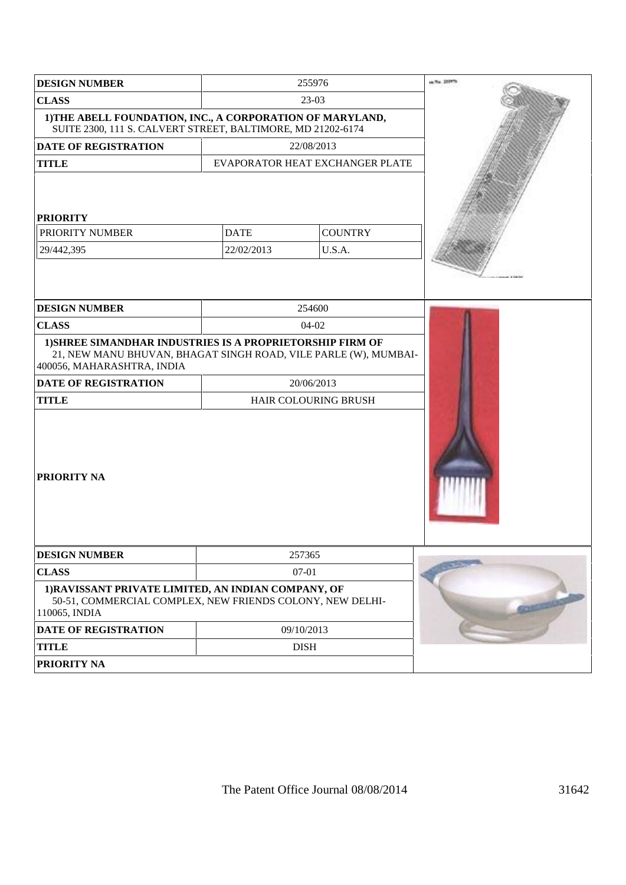| <b>DESIGN NUMBER</b>                                                                                                                                       |             | 255976                          | in No. 1559.16 |
|------------------------------------------------------------------------------------------------------------------------------------------------------------|-------------|---------------------------------|----------------|
| <b>CLASS</b>                                                                                                                                               |             | 23-03                           |                |
| 1) THE ABELL FOUNDATION, INC., A CORPORATION OF MARYLAND,<br>SUITE 2300, 111 S. CALVERT STREET, BALTIMORE, MD 21202-6174                                   |             |                                 |                |
| <b>DATE OF REGISTRATION</b>                                                                                                                                |             | 22/08/2013                      |                |
| <b>TITLE</b>                                                                                                                                               |             | EVAPORATOR HEAT EXCHANGER PLATE |                |
| <b>PRIORITY</b><br>PRIORITY NUMBER                                                                                                                         | <b>DATE</b> | <b>COUNTRY</b>                  |                |
| 29/442,395                                                                                                                                                 | 22/02/2013  | U.S.A.                          |                |
| <b>DESIGN NUMBER</b>                                                                                                                                       |             | 254600                          |                |
| <b>CLASS</b>                                                                                                                                               |             | 04-02                           |                |
| 1) SHREE SIMANDHAR INDUSTRIES IS A PROPRIETORSHIP FIRM OF<br>21, NEW MANU BHUVAN, BHAGAT SINGH ROAD, VILE PARLE (W), MUMBAI-<br>400056, MAHARASHTRA, INDIA |             |                                 |                |
| <b>DATE OF REGISTRATION</b>                                                                                                                                |             | 20/06/2013                      |                |
| <b>TITLE</b><br><b>PRIORITY NA</b>                                                                                                                         |             | HAIR COLOURING BRUSH            |                |
| <b>DESIGN NUMBER</b>                                                                                                                                       |             | 257365                          |                |
| <b>CLASS</b>                                                                                                                                               |             | $07 - 01$                       |                |
| 1) RAVISSANT PRIVATE LIMITED, AN INDIAN COMPANY, OF<br>50-51, COMMERCIAL COMPLEX, NEW FRIENDS COLONY, NEW DELHI-<br>110065, INDIA                          |             |                                 |                |
| DATE OF REGISTRATION                                                                                                                                       |             | 09/10/2013                      |                |
| <b>TITLE</b>                                                                                                                                               |             | <b>DISH</b>                     |                |
| PRIORITY NA                                                                                                                                                |             |                                 |                |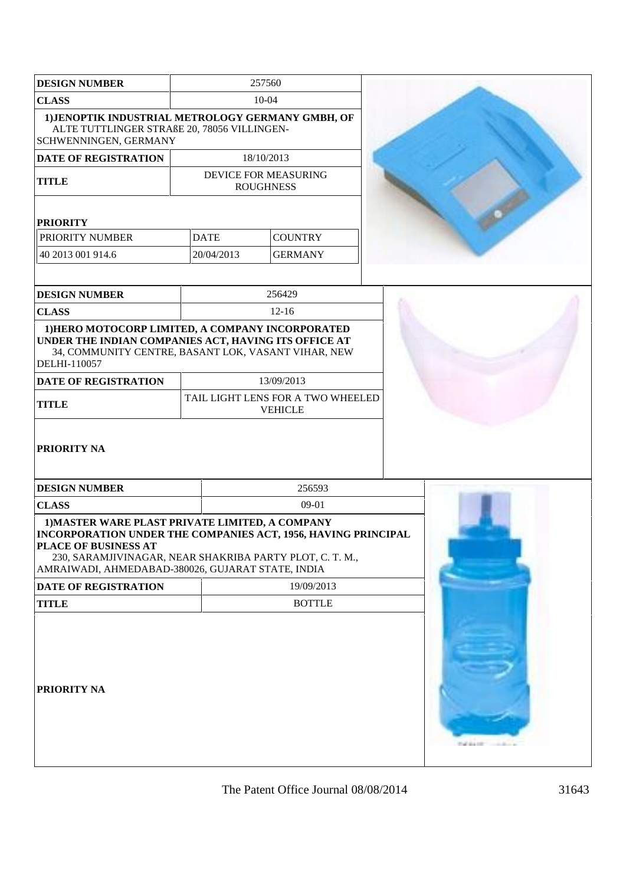| <b>DESIGN NUMBER</b>                                                                                                                                                                                                                                             | 257560      |                                                     |  |
|------------------------------------------------------------------------------------------------------------------------------------------------------------------------------------------------------------------------------------------------------------------|-------------|-----------------------------------------------------|--|
| <b>CLASS</b>                                                                                                                                                                                                                                                     | $10-04$     |                                                     |  |
| 1) JENOPTIK INDUSTRIAL METROLOGY GERMANY GMBH, OF<br>ALTE TUTTLINGER STRAßE 20, 78056 VILLINGEN-<br>SCHWENNINGEN, GERMANY                                                                                                                                        |             |                                                     |  |
| <b>DATE OF REGISTRATION</b>                                                                                                                                                                                                                                      |             | 18/10/2013                                          |  |
| <b>TITLE</b>                                                                                                                                                                                                                                                     |             | DEVICE FOR MEASURING<br><b>ROUGHNESS</b>            |  |
|                                                                                                                                                                                                                                                                  |             |                                                     |  |
| <b>PRIORITY</b>                                                                                                                                                                                                                                                  |             |                                                     |  |
| PRIORITY NUMBER                                                                                                                                                                                                                                                  | <b>DATE</b> | <b>COUNTRY</b>                                      |  |
| 40 2013 001 914.6                                                                                                                                                                                                                                                | 20/04/2013  | <b>GERMANY</b>                                      |  |
| <b>DESIGN NUMBER</b>                                                                                                                                                                                                                                             |             | 256429                                              |  |
| <b>CLASS</b>                                                                                                                                                                                                                                                     |             | $12 - 16$                                           |  |
| 1) HERO MOTOCORP LIMITED, A COMPANY INCORPORATED<br>UNDER THE INDIAN COMPANIES ACT, HAVING ITS OFFICE AT<br>34, COMMUNITY CENTRE, BASANT LOK, VASANT VIHAR, NEW<br>DELHI-110057                                                                                  |             |                                                     |  |
| DATE OF REGISTRATION                                                                                                                                                                                                                                             |             | 13/09/2013                                          |  |
| <b>TITLE</b>                                                                                                                                                                                                                                                     |             | TAIL LIGHT LENS FOR A TWO WHEELED<br><b>VEHICLE</b> |  |
| <b>PRIORITY NA</b>                                                                                                                                                                                                                                               |             |                                                     |  |
| <b>DESIGN NUMBER</b>                                                                                                                                                                                                                                             |             | 256593                                              |  |
| <b>CLASS</b>                                                                                                                                                                                                                                                     |             | $09-01$                                             |  |
| 1) MASTER WARE PLAST PRIVATE LIMITED, A COMPANY<br>INCORPORATION UNDER THE COMPANIES ACT, 1956, HAVING PRINCIPAL<br><b>PLACE OF BUSINESS AT</b><br>230, SARAMJIVINAGAR, NEAR SHAKRIBA PARTY PLOT, C. T. M.,<br>AMRAIWADI, AHMEDABAD-380026, GUJARAT STATE, INDIA |             |                                                     |  |
| <b>DATE OF REGISTRATION</b>                                                                                                                                                                                                                                      |             | 19/09/2013                                          |  |
| <b>TITLE</b>                                                                                                                                                                                                                                                     |             | <b>BOTTLE</b>                                       |  |
| <b>PRIORITY NA</b>                                                                                                                                                                                                                                               |             |                                                     |  |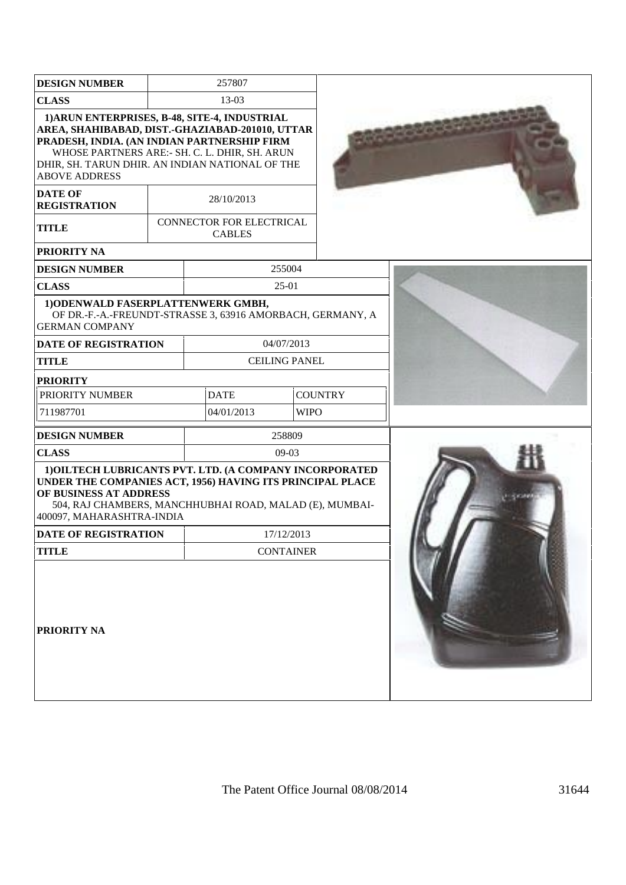| <b>DESIGN NUMBER</b>                                                                                                                                                                                                                                                        |  | 257807                                    |                      |                |  |
|-----------------------------------------------------------------------------------------------------------------------------------------------------------------------------------------------------------------------------------------------------------------------------|--|-------------------------------------------|----------------------|----------------|--|
| <b>CLASS</b>                                                                                                                                                                                                                                                                |  | 13-03                                     |                      |                |  |
| 1) ARUN ENTERPRISES, B-48, SITE-4, INDUSTRIAL<br>AREA, SHAHIBABAD, DIST.-GHAZIABAD-201010, UTTAR<br>PRADESH, INDIA. (AN INDIAN PARTNERSHIP FIRM<br>WHOSE PARTNERS ARE:- SH. C. L. DHIR, SH. ARUN<br>DHIR, SH. TARUN DHIR. AN INDIAN NATIONAL OF THE<br><b>ABOVE ADDRESS</b> |  |                                           |                      |                |  |
| <b>DATE OF</b><br><b>REGISTRATION</b>                                                                                                                                                                                                                                       |  | 28/10/2013                                |                      |                |  |
| <b>TITLE</b>                                                                                                                                                                                                                                                                |  | CONNECTOR FOR ELECTRICAL<br><b>CABLES</b> |                      |                |  |
| PRIORITY NA                                                                                                                                                                                                                                                                 |  |                                           |                      |                |  |
| <b>DESIGN NUMBER</b>                                                                                                                                                                                                                                                        |  |                                           | 255004               |                |  |
| <b>CLASS</b>                                                                                                                                                                                                                                                                |  |                                           | 25-01                |                |  |
| 1) ODENWALD FASERPLATTENWERK GMBH,<br>OF DR.-F.-A.-FREUNDT-STRASSE 3, 63916 AMORBACH, GERMANY, A<br><b>GERMAN COMPANY</b>                                                                                                                                                   |  |                                           |                      |                |  |
| <b>DATE OF REGISTRATION</b>                                                                                                                                                                                                                                                 |  | 04/07/2013                                |                      |                |  |
| <b>TITLE</b>                                                                                                                                                                                                                                                                |  |                                           | <b>CEILING PANEL</b> |                |  |
| <b>PRIORITY</b>                                                                                                                                                                                                                                                             |  |                                           |                      |                |  |
| PRIORITY NUMBER                                                                                                                                                                                                                                                             |  | <b>DATE</b>                               |                      | <b>COUNTRY</b> |  |
| 711987701                                                                                                                                                                                                                                                                   |  | 04/01/2013                                | <b>WIPO</b>          |                |  |
| <b>DESIGN NUMBER</b>                                                                                                                                                                                                                                                        |  |                                           | 258809               |                |  |
| <b>CLASS</b>                                                                                                                                                                                                                                                                |  |                                           | 09-03                |                |  |
| 1) OILTECH LUBRICANTS PVT. LTD. (A COMPANY INCORPORATED<br>UNDER THE COMPANIES ACT, 1956) HAVING ITS PRINCIPAL PLACE<br>OF BUSINESS AT ADDRESS<br>504, RAJ CHAMBERS, MANCHHUBHAI ROAD, MALAD (E), MUMBAI-<br>400097, MAHARASHTRA-INDIA                                      |  |                                           |                      |                |  |
| <b>DATE OF REGISTRATION</b>                                                                                                                                                                                                                                                 |  |                                           | 17/12/2013           |                |  |
| <b>TITLE</b>                                                                                                                                                                                                                                                                |  |                                           | <b>CONTAINER</b>     |                |  |
| PRIORITY NA                                                                                                                                                                                                                                                                 |  |                                           |                      |                |  |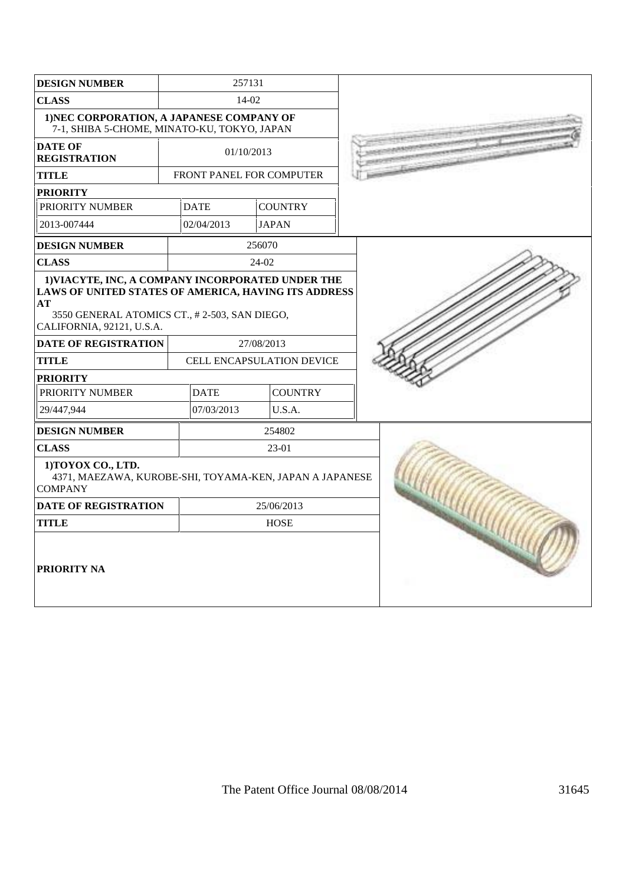| <b>DESIGN NUMBER</b>                                                                                                                                                                         | 257131 |                                 |        |                           |  |
|----------------------------------------------------------------------------------------------------------------------------------------------------------------------------------------------|--------|---------------------------------|--------|---------------------------|--|
| <b>CLASS</b>                                                                                                                                                                                 |        |                                 | 14-02  |                           |  |
| 1) NEC CORPORATION, A JAPANESE COMPANY OF<br>7-1, SHIBA 5-CHOME, MINATO-KU, TOKYO, JAPAN                                                                                                     |        |                                 |        |                           |  |
| <b>DATE OF</b><br><b>REGISTRATION</b>                                                                                                                                                        |        | 01/10/2013                      |        |                           |  |
| <b>TITLE</b>                                                                                                                                                                                 |        | <b>FRONT PANEL FOR COMPUTER</b> |        |                           |  |
| <b>PRIORITY</b>                                                                                                                                                                              |        |                                 |        |                           |  |
| PRIORITY NUMBER                                                                                                                                                                              |        | <b>DATE</b>                     |        | <b>COUNTRY</b>            |  |
| 2013-007444                                                                                                                                                                                  |        | 02/04/2013                      |        | <b>JAPAN</b>              |  |
| <b>DESIGN NUMBER</b>                                                                                                                                                                         |        |                                 | 256070 |                           |  |
| <b>CLASS</b>                                                                                                                                                                                 |        |                                 | 24-02  |                           |  |
| 1) VIACYTE, INC, A COMPANY INCORPORATED UNDER THE<br>LAWS OF UNITED STATES OF AMERICA, HAVING ITS ADDRESS<br>AT<br>3550 GENERAL ATOMICS CT., #2-503, SAN DIEGO,<br>CALIFORNIA, 92121, U.S.A. |        |                                 |        |                           |  |
| <b>DATE OF REGISTRATION</b>                                                                                                                                                                  |        |                                 |        | 27/08/2013                |  |
| <b>TITLE</b>                                                                                                                                                                                 |        |                                 |        | CELL ENCAPSULATION DEVICE |  |
| <b>PRIORITY</b>                                                                                                                                                                              |        |                                 |        |                           |  |
| PRIORITY NUMBER                                                                                                                                                                              |        | <b>DATE</b>                     |        | <b>COUNTRY</b>            |  |
| 29/447,944                                                                                                                                                                                   |        | 07/03/2013                      |        | U.S.A.                    |  |
| <b>DESIGN NUMBER</b>                                                                                                                                                                         |        |                                 |        | 254802                    |  |
| <b>CLASS</b>                                                                                                                                                                                 |        |                                 |        | 23-01                     |  |
| 1) TOYOX CO., LTD.<br>4371, MAEZAWA, KUROBE-SHI, TOYAMA-KEN, JAPAN A JAPANESE<br><b>COMPANY</b>                                                                                              |        |                                 |        |                           |  |
| <b>DATE OF REGISTRATION</b>                                                                                                                                                                  |        | 25/06/2013                      |        |                           |  |
| <b>TITLE</b>                                                                                                                                                                                 |        | <b>HOSE</b>                     |        |                           |  |
| <b>PRIORITY NA</b>                                                                                                                                                                           |        |                                 |        |                           |  |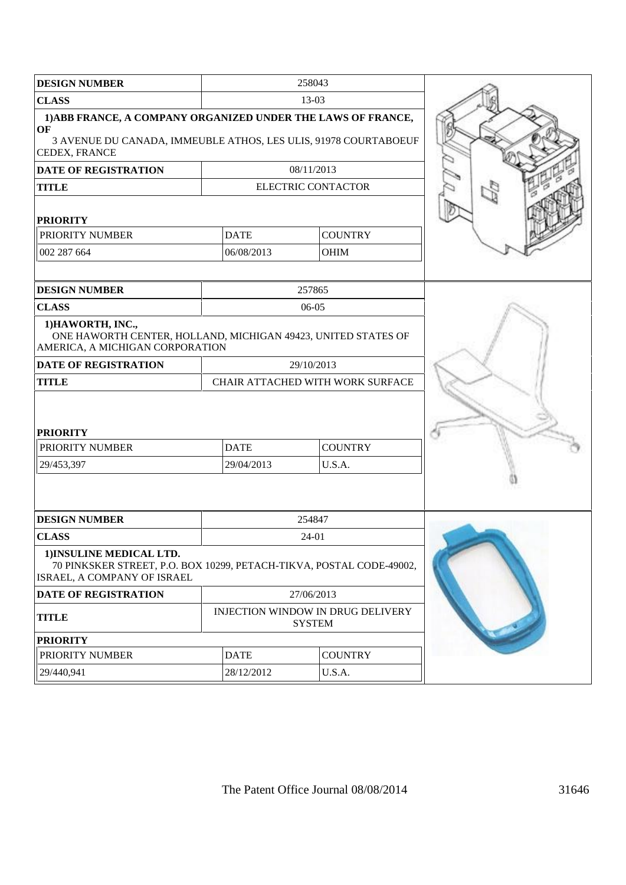| <b>DESIGN NUMBER</b>                                                                                                                                          |                                                       | 258043                                                    |  |
|---------------------------------------------------------------------------------------------------------------------------------------------------------------|-------------------------------------------------------|-----------------------------------------------------------|--|
| <b>CLASS</b>                                                                                                                                                  |                                                       | $13-03$                                                   |  |
| 1) ABB FRANCE, A COMPANY ORGANIZED UNDER THE LAWS OF FRANCE,<br><b>OF</b><br>3 AVENUE DU CANADA, IMMEUBLE ATHOS, LES ULIS, 91978 COURTABOEUF<br>CEDEX, FRANCE |                                                       |                                                           |  |
| <b>DATE OF REGISTRATION</b>                                                                                                                                   |                                                       | 08/11/2013                                                |  |
| <b>TITLE</b>                                                                                                                                                  |                                                       | <b>ELECTRIC CONTACTOR</b>                                 |  |
| <b>PRIORITY</b>                                                                                                                                               |                                                       |                                                           |  |
| PRIORITY NUMBER                                                                                                                                               | <b>DATE</b>                                           | <b>COUNTRY</b>                                            |  |
| 002 287 664                                                                                                                                                   | 06/08/2013                                            | <b>OHIM</b>                                               |  |
|                                                                                                                                                               |                                                       |                                                           |  |
| <b>DESIGN NUMBER</b>                                                                                                                                          |                                                       | 257865                                                    |  |
| <b>CLASS</b>                                                                                                                                                  |                                                       | $06-05$                                                   |  |
| 1) HAWORTH, INC.,<br>ONE HAWORTH CENTER, HOLLAND, MICHIGAN 49423, UNITED STATES OF<br>AMERICA, A MICHIGAN CORPORATION                                         |                                                       |                                                           |  |
| <b>DATE OF REGISTRATION</b>                                                                                                                                   |                                                       | 29/10/2013                                                |  |
| <b>TITLE</b>                                                                                                                                                  |                                                       | CHAIR ATTACHED WITH WORK SURFACE                          |  |
| <b>PRIORITY</b><br>PRIORITY NUMBER<br>29/453,397                                                                                                              | <b>COUNTRY</b><br><b>DATE</b><br>U.S.A.<br>29/04/2013 |                                                           |  |
| <b>DESIGN NUMBER</b>                                                                                                                                          |                                                       | 254847                                                    |  |
| <b>CLASS</b>                                                                                                                                                  |                                                       | 24-01                                                     |  |
| 1) INSULINE MEDICAL LTD.<br>70 PINKSKER STREET, P.O. BOX 10299, PETACH-TIKVA, POSTAL CODE-49002,<br>ISRAEL, A COMPANY OF ISRAEL                               |                                                       |                                                           |  |
| <b>DATE OF REGISTRATION</b>                                                                                                                                   |                                                       | 27/06/2013                                                |  |
| <b>TITLE</b>                                                                                                                                                  |                                                       | <b>INJECTION WINDOW IN DRUG DELIVERY</b><br><b>SYSTEM</b> |  |
| <b>PRIORITY</b>                                                                                                                                               |                                                       |                                                           |  |
| PRIORITY NUMBER                                                                                                                                               | <b>DATE</b>                                           | <b>COUNTRY</b>                                            |  |
| 29/440,941                                                                                                                                                    | 28/12/2012                                            | U.S.A.                                                    |  |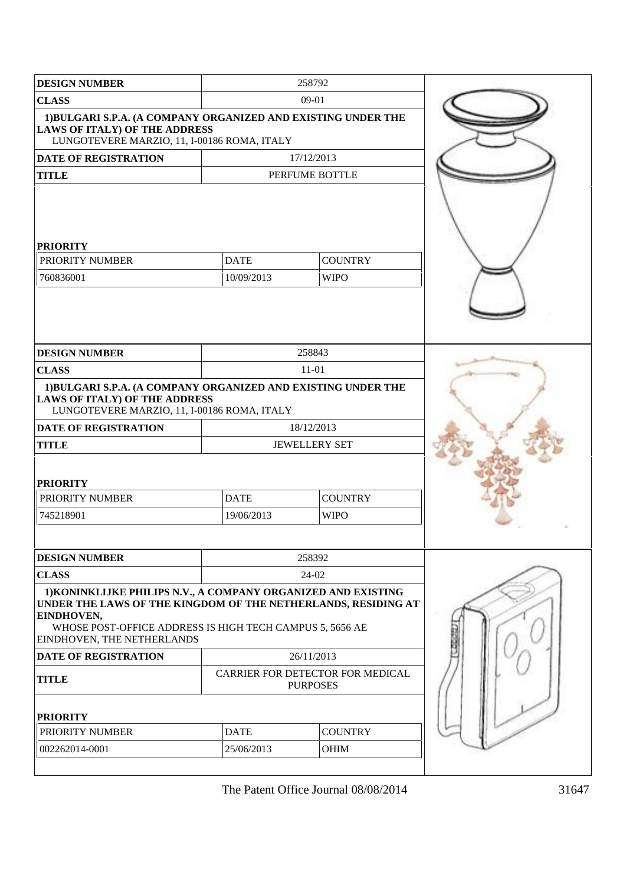| <b>DESIGN NUMBER</b>                                                                                                                                                                                                                   |                           | 258792                                              |  |
|----------------------------------------------------------------------------------------------------------------------------------------------------------------------------------------------------------------------------------------|---------------------------|-----------------------------------------------------|--|
| <b>CLASS</b>                                                                                                                                                                                                                           |                           | 09-01                                               |  |
| 1) BULGARI S.P.A. (A COMPANY ORGANIZED AND EXISTING UNDER THE<br><b>LAWS OF ITALY) OF THE ADDRESS</b><br>LUNGOTEVERE MARZIO, 11, I-00186 ROMA, ITALY                                                                                   |                           |                                                     |  |
| <b>DATE OF REGISTRATION</b>                                                                                                                                                                                                            |                           | 17/12/2013                                          |  |
| <b>TITLE</b>                                                                                                                                                                                                                           |                           | PERFUME BOTTLE                                      |  |
| <b>PRIORITY</b><br>PRIORITY NUMBER<br>760836001                                                                                                                                                                                        | <b>DATE</b><br>10/09/2013 | <b>COUNTRY</b><br><b>WIPO</b>                       |  |
| <b>DESIGN NUMBER</b>                                                                                                                                                                                                                   |                           | 258843                                              |  |
| <b>CLASS</b>                                                                                                                                                                                                                           |                           | $11-01$                                             |  |
| 1) BULGARI S.P.A. (A COMPANY ORGANIZED AND EXISTING UNDER THE<br><b>LAWS OF ITALY) OF THE ADDRESS</b><br>LUNGOTEVERE MARZIO, 11, I-00186 ROMA, ITALY                                                                                   |                           |                                                     |  |
| <b>DATE OF REGISTRATION</b>                                                                                                                                                                                                            |                           | 18/12/2013                                          |  |
| <b>TITLE</b>                                                                                                                                                                                                                           |                           | <b>JEWELLERY SET</b>                                |  |
| <b>PRIORITY</b>                                                                                                                                                                                                                        |                           |                                                     |  |
| PRIORITY NUMBER                                                                                                                                                                                                                        | <b>DATE</b>               | <b>COUNTRY</b>                                      |  |
| 745218901                                                                                                                                                                                                                              | 19/06/2013                | <b>WIPO</b>                                         |  |
| <b>DESIGN NUMBER</b>                                                                                                                                                                                                                   |                           | 258392                                              |  |
| <b>CLASS</b>                                                                                                                                                                                                                           |                           | 24-02                                               |  |
| 1) KONINKLIJKE PHILIPS N.V., A COMPANY ORGANIZED AND EXISTING<br>UNDER THE LAWS OF THE KINGDOM OF THE NETHERLANDS, RESIDING AT<br>EINDHOVEN,<br>WHOSE POST-OFFICE ADDRESS IS HIGH TECH CAMPUS 5, 5656 AE<br>EINDHOVEN, THE NETHERLANDS |                           |                                                     |  |
| <b>DATE OF REGISTRATION</b>                                                                                                                                                                                                            |                           | 26/11/2013                                          |  |
| <b>TITLE</b>                                                                                                                                                                                                                           |                           | CARRIER FOR DETECTOR FOR MEDICAL<br><b>PURPOSES</b> |  |
| <b>PRIORITY</b>                                                                                                                                                                                                                        |                           |                                                     |  |
| PRIORITY NUMBER                                                                                                                                                                                                                        | <b>DATE</b>               | <b>COUNTRY</b>                                      |  |
| 002262014-0001                                                                                                                                                                                                                         | 25/06/2013                | <b>OHIM</b>                                         |  |
|                                                                                                                                                                                                                                        |                           |                                                     |  |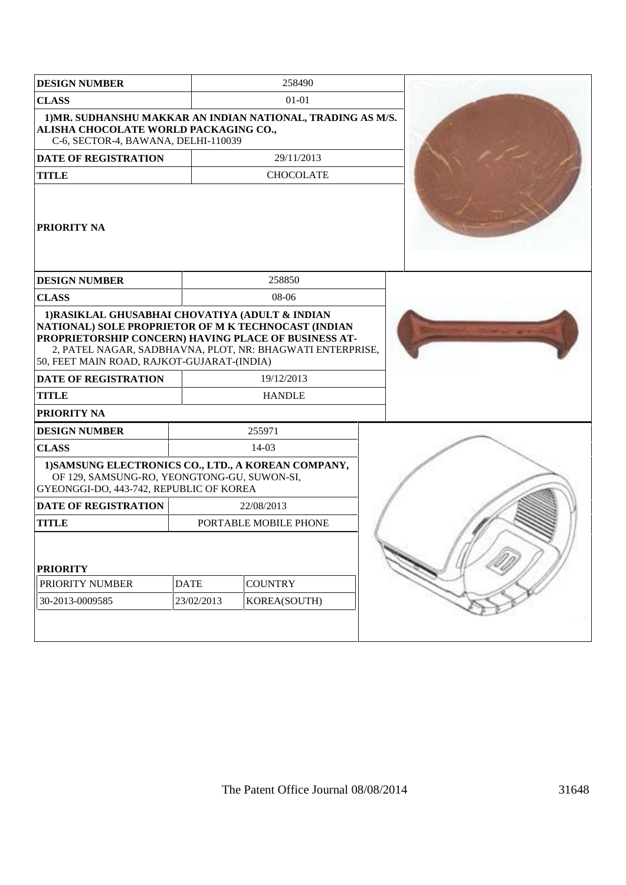| <b>DESIGN NUMBER</b>                                                                                                                                                                                                                                                                                                                           |             | 258490                      |  |  |
|------------------------------------------------------------------------------------------------------------------------------------------------------------------------------------------------------------------------------------------------------------------------------------------------------------------------------------------------|-------------|-----------------------------|--|--|
| <b>CLASS</b>                                                                                                                                                                                                                                                                                                                                   |             | 01-01                       |  |  |
| 1) MR. SUDHANSHU MAKKAR AN INDIAN NATIONAL, TRADING AS M/S.<br>ALISHA CHOCOLATE WORLD PACKAGING CO.,<br>C-6, SECTOR-4, BAWANA, DELHI-110039                                                                                                                                                                                                    |             |                             |  |  |
| <b>DATE OF REGISTRATION</b>                                                                                                                                                                                                                                                                                                                    |             | 29/11/2013                  |  |  |
| <b>TITLE</b>                                                                                                                                                                                                                                                                                                                                   |             | <b>CHOCOLATE</b>            |  |  |
| <b>PRIORITY NA</b>                                                                                                                                                                                                                                                                                                                             |             |                             |  |  |
| <b>DESIGN NUMBER</b>                                                                                                                                                                                                                                                                                                                           |             | 258850                      |  |  |
| <b>CLASS</b>                                                                                                                                                                                                                                                                                                                                   |             | 08-06                       |  |  |
| 1) RASIKLAL GHUSABHAI CHOVATIYA (ADULT & INDIAN<br>NATIONAL) SOLE PROPRIETOR OF M K TECHNOCAST (INDIAN<br>PROPRIETORSHIP CONCERN) HAVING PLACE OF BUSINESS AT-<br>2, PATEL NAGAR, SADBHAVNA, PLOT, NR: BHAGWATI ENTERPRISE,<br>50, FEET MAIN ROAD, RAJKOT-GUJARAT-(INDIA)<br><b>DATE OF REGISTRATION</b><br><b>TITLE</b><br><b>PRIORITY NA</b> |             | 19/12/2013<br><b>HANDLE</b> |  |  |
| <b>DESIGN NUMBER</b>                                                                                                                                                                                                                                                                                                                           |             | 255971                      |  |  |
| <b>CLASS</b>                                                                                                                                                                                                                                                                                                                                   |             | $14-03$                     |  |  |
| 1) SAMSUNG ELECTRONICS CO., LTD., A KOREAN COMPANY,<br>OF 129, SAMSUNG-RO, YEONGTONG-GU, SUWON-SI,<br>GYEONGGI-DO, 443-742, REPUBLIC OF KOREA                                                                                                                                                                                                  |             |                             |  |  |
| <b>DATE OF REGISTRATION</b>                                                                                                                                                                                                                                                                                                                    |             | 22/08/2013                  |  |  |
| <b>TITLE</b>                                                                                                                                                                                                                                                                                                                                   |             | PORTABLE MOBILE PHONE       |  |  |
| <b>PRIORITY</b><br>PRIORITY NUMBER                                                                                                                                                                                                                                                                                                             | <b>DATE</b> | <b>COUNTRY</b>              |  |  |
| 30-2013-0009585                                                                                                                                                                                                                                                                                                                                | 23/02/2013  | KOREA(SOUTH)                |  |  |
|                                                                                                                                                                                                                                                                                                                                                |             |                             |  |  |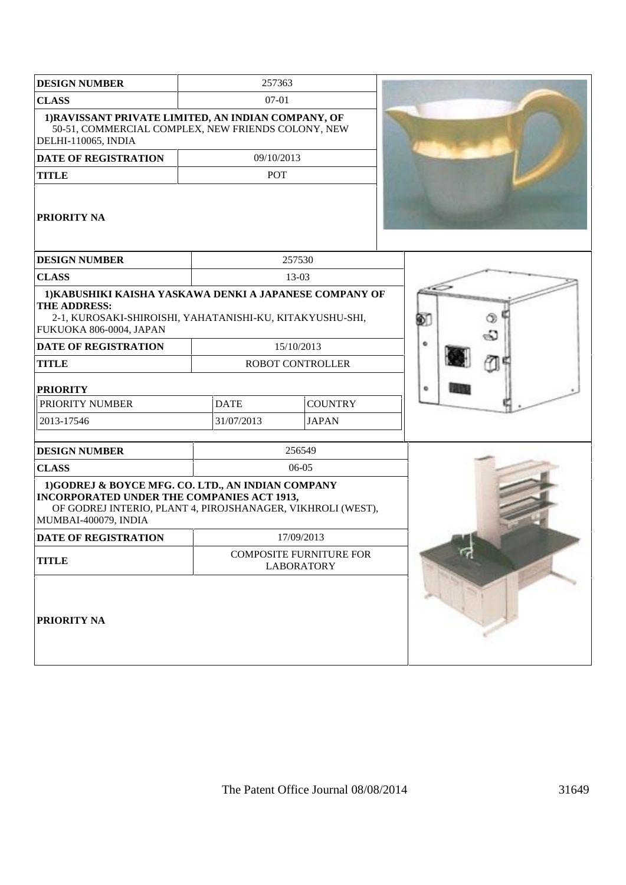| <b>DESIGN NUMBER</b>                                                                                                                                                                          | 257363      |                                                     |    |
|-----------------------------------------------------------------------------------------------------------------------------------------------------------------------------------------------|-------------|-----------------------------------------------------|----|
| <b>CLASS</b>                                                                                                                                                                                  | 07-01       |                                                     |    |
| 1) RAVISSANT PRIVATE LIMITED, AN INDIAN COMPANY, OF<br>50-51, COMMERCIAL COMPLEX, NEW FRIENDS COLONY, NEW<br>DELHI-110065, INDIA                                                              |             |                                                     |    |
| <b>DATE OF REGISTRATION</b>                                                                                                                                                                   | 09/10/2013  |                                                     |    |
| <b>TITLE</b>                                                                                                                                                                                  | POT         |                                                     |    |
| <b>PRIORITY NA</b>                                                                                                                                                                            |             |                                                     |    |
| <b>DESIGN NUMBER</b>                                                                                                                                                                          |             | 257530                                              |    |
| <b>CLASS</b>                                                                                                                                                                                  |             | 13-03                                               |    |
| 1) KABUSHIKI KAISHA YASKAWA DENKI A JAPANESE COMPANY OF<br>THE ADDRESS:<br>2-1, KUROSAKI-SHIROISHI, YAHATANISHI-KU, KITAKYUSHU-SHI,<br>FUKUOKA 806-0004, JAPAN                                |             |                                                     | O, |
| <b>DATE OF REGISTRATION</b>                                                                                                                                                                   |             | 15/10/2013                                          | ۰  |
| <b>TITLE</b>                                                                                                                                                                                  |             | <b>ROBOT CONTROLLER</b>                             |    |
| <b>PRIORITY</b>                                                                                                                                                                               |             |                                                     | ۰  |
| PRIORITY NUMBER                                                                                                                                                                               | <b>DATE</b> | <b>COUNTRY</b>                                      |    |
| 2013-17546                                                                                                                                                                                    | 31/07/2013  | <b>JAPAN</b>                                        |    |
| <b>DESIGN NUMBER</b>                                                                                                                                                                          |             | 256549                                              |    |
| <b>CLASS</b>                                                                                                                                                                                  |             | 06-05                                               |    |
| 1)GODREJ & BOYCE MFG. CO. LTD., AN INDIAN COMPANY<br><b>INCORPORATED UNDER THE COMPANIES ACT 1913,</b><br>OF GODREJ INTERIO, PLANT 4, PIROJSHANAGER, VIKHROLI (WEST),<br>MUMBAI-400079, INDIA |             |                                                     |    |
| DATE OF REGISTRATION                                                                                                                                                                          |             | 17/09/2013                                          |    |
| <b>TITLE</b>                                                                                                                                                                                  |             | <b>COMPOSITE FURNITURE FOR</b><br><b>LABORATORY</b> |    |
| PRIORITY NA                                                                                                                                                                                   |             |                                                     |    |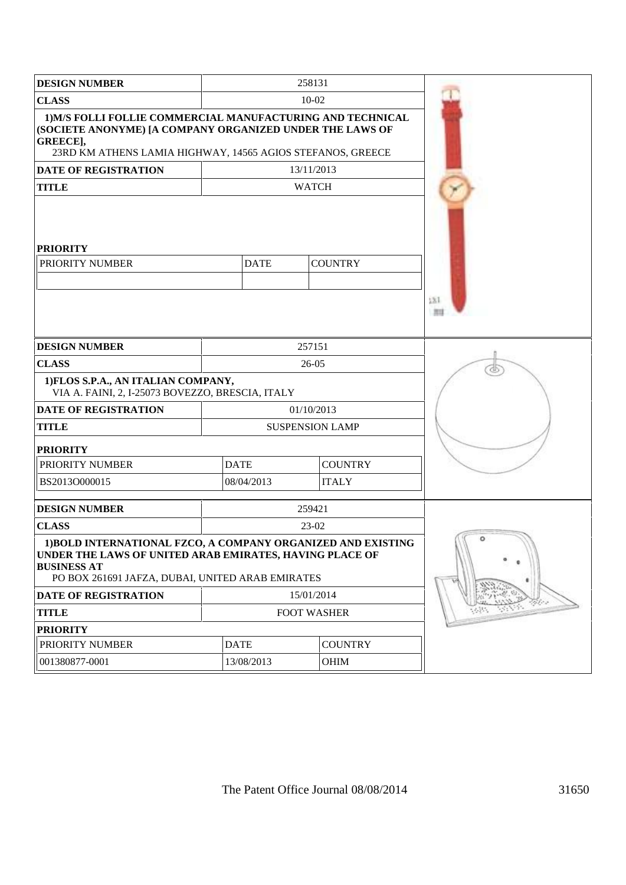| <b>DESIGN NUMBER</b>                                                                                                                                                                              |             | 258131                 |  |
|---------------------------------------------------------------------------------------------------------------------------------------------------------------------------------------------------|-------------|------------------------|--|
| <b>CLASS</b>                                                                                                                                                                                      |             | 10-02                  |  |
| 1) M/S FOLLI FOLLIE COMMERCIAL MANUFACTURING AND TECHNICAL<br>(SOCIETE ANONYME) [A COMPANY ORGANIZED UNDER THE LAWS OF<br>GREECE],<br>23RD KM ATHENS LAMIA HIGHWAY, 14565 AGIOS STEFANOS, GREECE  |             |                        |  |
| DATE OF REGISTRATION                                                                                                                                                                              |             | 13/11/2013             |  |
| <b>TITLE</b>                                                                                                                                                                                      |             | <b>WATCH</b>           |  |
| <b>PRIORITY</b><br>PRIORITY NUMBER                                                                                                                                                                | 531<br>用田   |                        |  |
| <b>DESIGN NUMBER</b>                                                                                                                                                                              |             | 257151                 |  |
| <b>CLASS</b>                                                                                                                                                                                      |             | $26-05$                |  |
| 1) FLOS S.P.A., AN ITALIAN COMPANY,<br>VIA A. FAINI, 2, I-25073 BOVEZZO, BRESCIA, ITALY                                                                                                           |             |                        |  |
| <b>DATE OF REGISTRATION</b>                                                                                                                                                                       |             | 01/10/2013             |  |
| <b>TITLE</b>                                                                                                                                                                                      |             | <b>SUSPENSION LAMP</b> |  |
| <b>PRIORITY</b>                                                                                                                                                                                   |             |                        |  |
| PRIORITY NUMBER                                                                                                                                                                                   | <b>DATE</b> | <b>COUNTRY</b>         |  |
| BS2013O000015                                                                                                                                                                                     | 08/04/2013  | <b>ITALY</b>           |  |
| <b>DESIGN NUMBER</b>                                                                                                                                                                              |             | 259421                 |  |
| <b>CLASS</b>                                                                                                                                                                                      |             | 23-02                  |  |
| 1) BOLD INTERNATIONAL FZCO, A COMPANY ORGANIZED AND EXISTING<br>UNDER THE LAWS OF UNITED ARAB EMIRATES, HAVING PLACE OF<br><b>BUSINESS AT</b><br>PO BOX 261691 JAFZA, DUBAI, UNITED ARAB EMIRATES | ۰           |                        |  |
| <b>DATE OF REGISTRATION</b>                                                                                                                                                                       |             | 15/01/2014             |  |
| <b>TITLE</b>                                                                                                                                                                                      |             | FOOT WASHER            |  |
| <b>PRIORITY</b>                                                                                                                                                                                   |             |                        |  |
| PRIORITY NUMBER                                                                                                                                                                                   | <b>DATE</b> | <b>COUNTRY</b>         |  |
| 001380877-0001                                                                                                                                                                                    | 13/08/2013  | <b>OHIM</b>            |  |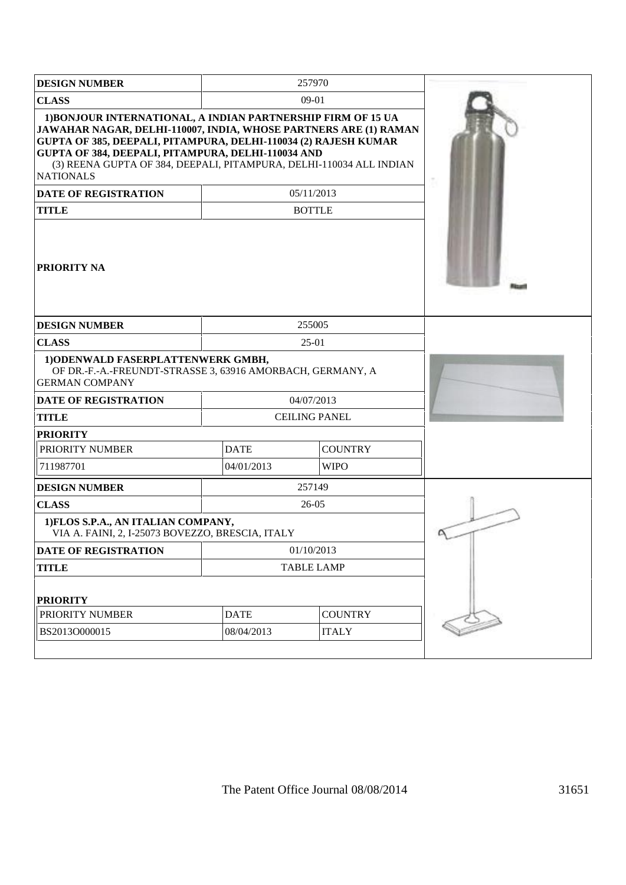| <b>DESIGN NUMBER</b>                                                                                                                                                                                                                                                                                                                                 |             | 257970               |  |
|------------------------------------------------------------------------------------------------------------------------------------------------------------------------------------------------------------------------------------------------------------------------------------------------------------------------------------------------------|-------------|----------------------|--|
| <b>CLASS</b>                                                                                                                                                                                                                                                                                                                                         |             | 09-01                |  |
| 1) BONJOUR INTERNATIONAL, A INDIAN PARTNERSHIP FIRM OF 15 UA<br>JAWAHAR NAGAR, DELHI-110007, INDIA, WHOSE PARTNERS ARE (1) RAMAN<br>GUPTA OF 385, DEEPALI, PITAMPURA, DELHI-110034 (2) RAJESH KUMAR<br>GUPTA OF 384, DEEPALI, PITAMPURA, DELHI-110034 AND<br>(3) REENA GUPTA OF 384, DEEPALI, PITAMPURA, DELHI-110034 ALL INDIAN<br><b>NATIONALS</b> |             |                      |  |
| DATE OF REGISTRATION                                                                                                                                                                                                                                                                                                                                 |             | 05/11/2013           |  |
| <b>TITLE</b>                                                                                                                                                                                                                                                                                                                                         |             | <b>BOTTLE</b>        |  |
| <b>PRIORITY NA</b>                                                                                                                                                                                                                                                                                                                                   |             |                      |  |
| <b>DESIGN NUMBER</b>                                                                                                                                                                                                                                                                                                                                 |             | 255005               |  |
| <b>CLASS</b>                                                                                                                                                                                                                                                                                                                                         |             |                      |  |
|                                                                                                                                                                                                                                                                                                                                                      |             |                      |  |
| 1) ODENWALD FASERPLATTENWERK GMBH,<br>OF DR.-F.-A.-FREUNDT-STRASSE 3, 63916 AMORBACH, GERMANY, A<br><b>GERMAN COMPANY</b>                                                                                                                                                                                                                            |             |                      |  |
| <b>DATE OF REGISTRATION</b>                                                                                                                                                                                                                                                                                                                          |             | 04/07/2013           |  |
| <b>TITLE</b>                                                                                                                                                                                                                                                                                                                                         |             | <b>CEILING PANEL</b> |  |
| <b>PRIORITY</b>                                                                                                                                                                                                                                                                                                                                      |             |                      |  |
| PRIORITY NUMBER                                                                                                                                                                                                                                                                                                                                      | <b>DATE</b> | <b>COUNTRY</b>       |  |
| 711987701                                                                                                                                                                                                                                                                                                                                            | 04/01/2013  | <b>WIPO</b>          |  |
| <b>DESIGN NUMBER</b>                                                                                                                                                                                                                                                                                                                                 |             | 257149               |  |
| <b>CLASS</b>                                                                                                                                                                                                                                                                                                                                         |             | 26-05                |  |
| 1) FLOS S.P.A., AN ITALIAN COMPANY,<br>VIA A. FAINI, 2, I-25073 BOVEZZO, BRESCIA, ITALY                                                                                                                                                                                                                                                              |             |                      |  |
| DATE OF REGISTRATION                                                                                                                                                                                                                                                                                                                                 |             | 01/10/2013           |  |
| <b>TITLE</b>                                                                                                                                                                                                                                                                                                                                         |             | <b>TABLE LAMP</b>    |  |
| <b>PRIORITY</b>                                                                                                                                                                                                                                                                                                                                      |             |                      |  |
| PRIORITY NUMBER                                                                                                                                                                                                                                                                                                                                      | <b>DATE</b> | <b>COUNTRY</b>       |  |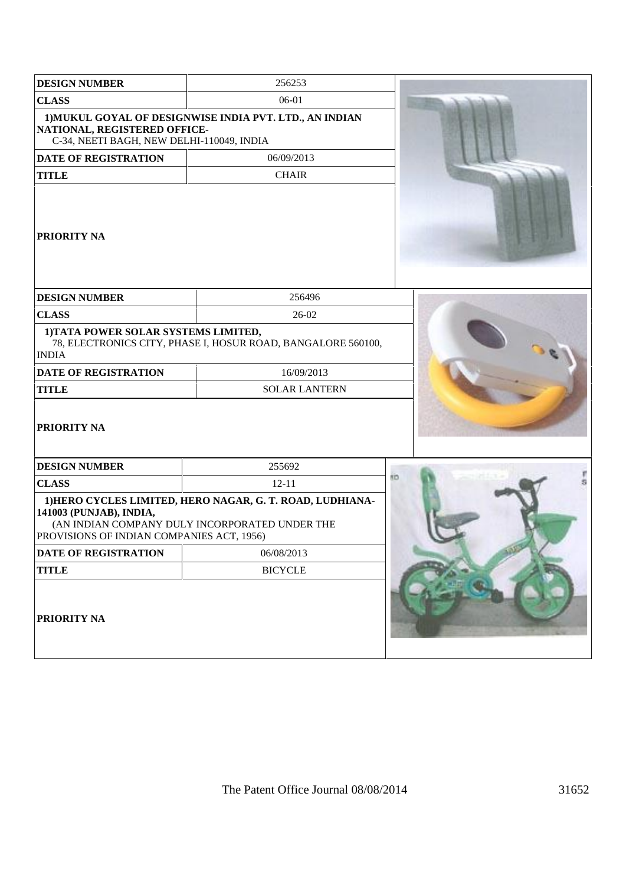| <b>DESIGN NUMBER</b>                                                      | 256253                                                                                                      |    |
|---------------------------------------------------------------------------|-------------------------------------------------------------------------------------------------------------|----|
| <b>CLASS</b>                                                              | 06-01                                                                                                       |    |
| NATIONAL, REGISTERED OFFICE-<br>C-34, NEETI BAGH, NEW DELHI-110049, INDIA | 1) MUKUL GOYAL OF DESIGNWISE INDIA PVT. LTD., AN INDIAN                                                     |    |
| <b>DATE OF REGISTRATION</b>                                               | 06/09/2013                                                                                                  |    |
| <b>TITLE</b>                                                              | <b>CHAIR</b>                                                                                                |    |
| <b>PRIORITY NA</b>                                                        |                                                                                                             |    |
| <b>DESIGN NUMBER</b>                                                      | 256496                                                                                                      |    |
| <b>CLASS</b>                                                              | 26-02                                                                                                       |    |
| 1) TATA POWER SOLAR SYSTEMS LIMITED,<br><b>INDIA</b>                      | 78, ELECTRONICS CITY, PHASE I, HOSUR ROAD, BANGALORE 560100,                                                |    |
| <b>DATE OF REGISTRATION</b>                                               | 16/09/2013                                                                                                  |    |
| <b>TITLE</b>                                                              | <b>SOLAR LANTERN</b>                                                                                        |    |
| <b>PRIORITY NA</b>                                                        |                                                                                                             |    |
| <b>DESIGN NUMBER</b>                                                      | 255692                                                                                                      |    |
| <b>CLASS</b>                                                              | $12 - 11$                                                                                                   | ED |
| 141003 (PUNJAB), INDIA,<br>PROVISIONS OF INDIAN COMPANIES ACT, 1956)      | 1) HERO CYCLES LIMITED, HERO NAGAR, G. T. ROAD, LUDHIANA-<br>(AN INDIAN COMPANY DULY INCORPORATED UNDER THE |    |
| DATE OF REGISTRATION                                                      | 06/08/2013                                                                                                  |    |
| <b>TITLE</b>                                                              | <b>BICYCLE</b>                                                                                              |    |
| <b>PRIORITY NA</b>                                                        |                                                                                                             |    |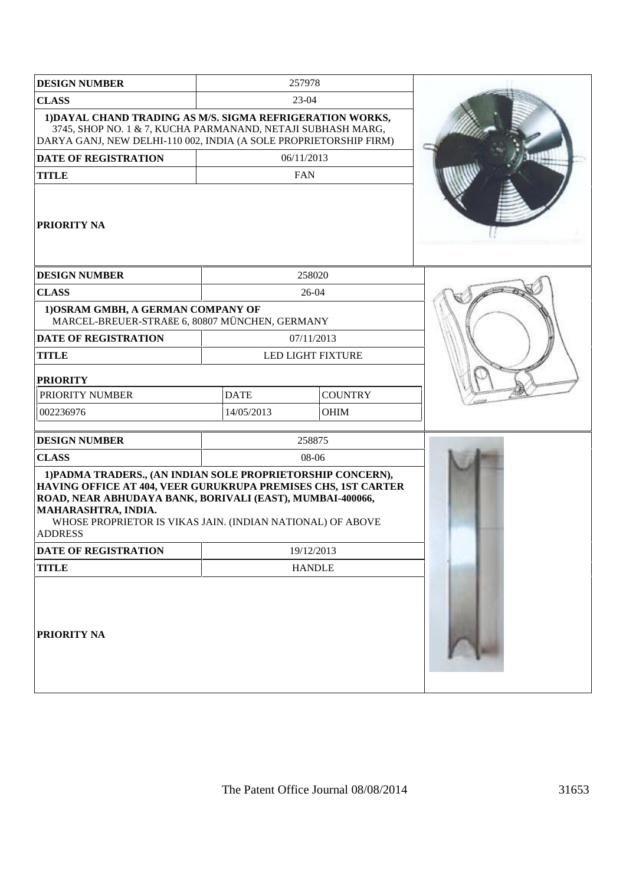| <b>DESIGN NUMBER</b>                                                                                                                                                                                                                                                                             |             | 257978                   |  |
|--------------------------------------------------------------------------------------------------------------------------------------------------------------------------------------------------------------------------------------------------------------------------------------------------|-------------|--------------------------|--|
| <b>CLASS</b>                                                                                                                                                                                                                                                                                     |             | 23-04                    |  |
| 1) DAYAL CHAND TRADING AS M/S. SIGMA REFRIGERATION WORKS,<br>3745, SHOP NO. 1 & 7, KUCHA PARMANAND, NETAJI SUBHASH MARG,<br>DARYA GANJ, NEW DELHI-110 002, INDIA (A SOLE PROPRIETORSHIP FIRM)                                                                                                    |             |                          |  |
| <b>DATE OF REGISTRATION</b>                                                                                                                                                                                                                                                                      |             | 06/11/2013               |  |
| <b>TITLE</b>                                                                                                                                                                                                                                                                                     |             | <b>FAN</b>               |  |
| <b> PRIORITY NA</b>                                                                                                                                                                                                                                                                              |             |                          |  |
| <b>DESIGN NUMBER</b>                                                                                                                                                                                                                                                                             |             | 258020                   |  |
| <b>CLASS</b>                                                                                                                                                                                                                                                                                     |             | 26-04                    |  |
| 1) OSRAM GMBH, A GERMAN COMPANY OF<br>MARCEL-BREUER-STRAßE 6, 80807 MÜNCHEN, GERMANY                                                                                                                                                                                                             |             |                          |  |
| <b>DATE OF REGISTRATION</b>                                                                                                                                                                                                                                                                      |             | 07/11/2013               |  |
| <b>TITLE</b>                                                                                                                                                                                                                                                                                     |             | <b>LED LIGHT FIXTURE</b> |  |
| <b>PRIORITY</b>                                                                                                                                                                                                                                                                                  |             |                          |  |
| PRIORITY NUMBER                                                                                                                                                                                                                                                                                  | <b>DATE</b> | <b>COUNTRY</b>           |  |
| 002236976                                                                                                                                                                                                                                                                                        | 14/05/2013  | OHIM                     |  |
| <b>DESIGN NUMBER</b>                                                                                                                                                                                                                                                                             |             | 258875                   |  |
| <b>CLASS</b>                                                                                                                                                                                                                                                                                     |             | 08-06                    |  |
| 1) PADMA TRADERS., (AN INDIAN SOLE PROPRIETORSHIP CONCERN),<br>HAVING OFFICE AT 404, VEER GURUKRUPA PREMISES CHS, 1ST CARTER<br>ROAD, NEAR ABHUDAYA BANK, BORIVALI (EAST), MUMBAI-400066,<br>MAHARASHTRA, INDIA.<br>WHOSE PROPRIETOR IS VIKAS JAIN. (INDIAN NATIONAL) OF ABOVE<br><b>ADDRESS</b> |             |                          |  |
| <b>DATE OF REGISTRATION</b>                                                                                                                                                                                                                                                                      |             | 19/12/2013               |  |
| <b>TITLE</b>                                                                                                                                                                                                                                                                                     |             | <b>HANDLE</b>            |  |
| <b>PRIORITY NA</b>                                                                                                                                                                                                                                                                               |             |                          |  |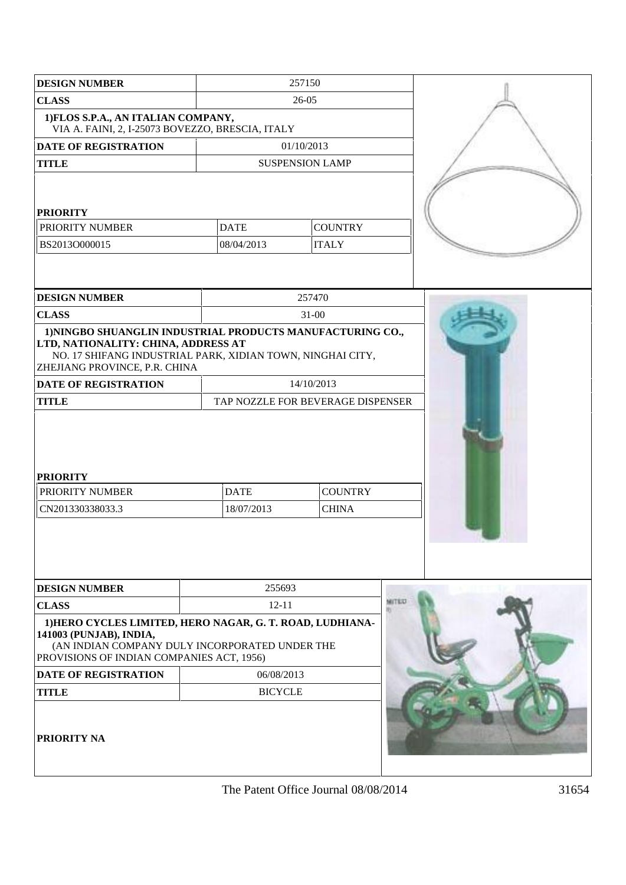| <b>DESIGN NUMBER</b>                                                                                                                                                                             |                | 257150                            |  |
|--------------------------------------------------------------------------------------------------------------------------------------------------------------------------------------------------|----------------|-----------------------------------|--|
| <b>CLASS</b>                                                                                                                                                                                     |                | 26-05                             |  |
| 1) FLOS S.P.A., AN ITALIAN COMPANY,<br>VIA A. FAINI, 2, I-25073 BOVEZZO, BRESCIA, ITALY                                                                                                          |                |                                   |  |
| <b>DATE OF REGISTRATION</b>                                                                                                                                                                      |                | 01/10/2013                        |  |
| <b>TITLE</b>                                                                                                                                                                                     |                | <b>SUSPENSION LAMP</b>            |  |
|                                                                                                                                                                                                  |                |                                   |  |
| <b>PRIORITY</b>                                                                                                                                                                                  |                |                                   |  |
| <b>PRIORITY NUMBER</b>                                                                                                                                                                           | <b>DATE</b>    | <b>COUNTRY</b>                    |  |
| BS2013O000015                                                                                                                                                                                    | 08/04/2013     | <b>ITALY</b>                      |  |
|                                                                                                                                                                                                  |                |                                   |  |
| <b>DESIGN NUMBER</b>                                                                                                                                                                             |                | 257470                            |  |
| <b>CLASS</b>                                                                                                                                                                                     |                | $31 - 00$                         |  |
| 1) NINGBO SHUANGLIN INDUSTRIAL PRODUCTS MANUFACTURING CO.,<br>LTD, NATIONALITY: CHINA, ADDRESS AT<br>NO. 17 SHIFANG INDUSTRIAL PARK, XIDIAN TOWN, NINGHAI CITY,<br>ZHEJIANG PROVINCE, P.R. CHINA |                |                                   |  |
| <b>DATE OF REGISTRATION</b>                                                                                                                                                                      |                | 14/10/2013                        |  |
| <b>TITLE</b>                                                                                                                                                                                     |                | TAP NOZZLE FOR BEVERAGE DISPENSER |  |
| <b>PRIORITY</b><br>PRIORITY NUMBER                                                                                                                                                               | <b>DATE</b>    | <b>COUNTRY</b>                    |  |
| CN201330338033.3                                                                                                                                                                                 | 18/07/2013     | <b>CHINA</b>                      |  |
|                                                                                                                                                                                                  |                |                                   |  |
| <b>DESIGN NUMBER</b>                                                                                                                                                                             | 255693         |                                   |  |
| <b>CLASS</b>                                                                                                                                                                                     | $12 - 11$      |                                   |  |
| 1) HERO CYCLES LIMITED, HERO NAGAR, G. T. ROAD, LUDHIANA-<br>141003 (PUNJAB), INDIA,<br>(AN INDIAN COMPANY DULY INCORPORATED UNDER THE<br>PROVISIONS OF INDIAN COMPANIES ACT, 1956)              |                |                                   |  |
| <b>DATE OF REGISTRATION</b>                                                                                                                                                                      | 06/08/2013     |                                   |  |
| <b>TITLE</b>                                                                                                                                                                                     | <b>BICYCLE</b> |                                   |  |
| <b>PRIORITY NA</b>                                                                                                                                                                               |                |                                   |  |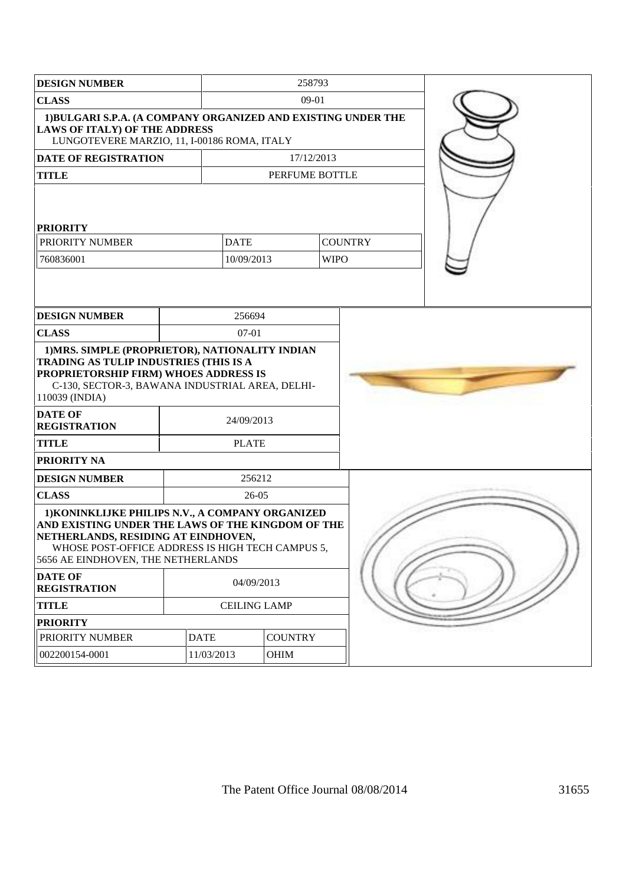| <b>DESIGN NUMBER</b>                                                                                                                                                                                                                   |             |                     | 258793                        |  |
|----------------------------------------------------------------------------------------------------------------------------------------------------------------------------------------------------------------------------------------|-------------|---------------------|-------------------------------|--|
| <b>CLASS</b>                                                                                                                                                                                                                           |             | 09-01               |                               |  |
| 1)BULGARI S.P.A. (A COMPANY ORGANIZED AND EXISTING UNDER THE<br><b>LAWS OF ITALY) OF THE ADDRESS</b><br>LUNGOTEVERE MARZIO, 11, I-00186 ROMA, ITALY                                                                                    |             |                     |                               |  |
| <b>DATE OF REGISTRATION</b>                                                                                                                                                                                                            |             |                     | 17/12/2013                    |  |
| <b>TITLE</b>                                                                                                                                                                                                                           |             |                     | PERFUME BOTTLE                |  |
| <b>PRIORITY</b><br>PRIORITY NUMBER<br>760836001                                                                                                                                                                                        | <b>DATE</b> | 10/09/2013          | <b>COUNTRY</b><br><b>WIPO</b> |  |
| <b>DESIGN NUMBER</b>                                                                                                                                                                                                                   |             | 256694              |                               |  |
| <b>CLASS</b>                                                                                                                                                                                                                           |             | $07-01$             |                               |  |
| TRADING AS TULIP INDUSTRIES (THIS IS A<br>PROPRIETORSHIP FIRM) WHOES ADDRESS IS<br>C-130, SECTOR-3, BAWANA INDUSTRIAL AREA, DELHI-<br>110039 (INDIA)<br><b>DATE OF</b><br><b>REGISTRATION</b>                                          |             | 24/09/2013          |                               |  |
| <b>TITLE</b>                                                                                                                                                                                                                           |             | <b>PLATE</b>        |                               |  |
| PRIORITY NA                                                                                                                                                                                                                            |             |                     |                               |  |
| <b>DESIGN NUMBER</b>                                                                                                                                                                                                                   |             | 256212              |                               |  |
| <b>CLASS</b>                                                                                                                                                                                                                           |             | 26-05               |                               |  |
| 1) KONINKLIJKE PHILIPS N.V., A COMPANY ORGANIZED<br>AND EXISTING UNDER THE LAWS OF THE KINGDOM OF THE<br>NETHERLANDS, RESIDING AT EINDHOVEN,<br>WHOSE POST-OFFICE ADDRESS IS HIGH TECH CAMPUS 5,<br>5656 AE EINDHOVEN, THE NETHERLANDS |             |                     |                               |  |
| <b>DATE OF</b><br><b>REGISTRATION</b>                                                                                                                                                                                                  |             | 04/09/2013          |                               |  |
| <b>TITLE</b>                                                                                                                                                                                                                           |             | <b>CEILING LAMP</b> |                               |  |
| <b>PRIORITY</b>                                                                                                                                                                                                                        |             |                     |                               |  |
| PRIORITY NUMBER                                                                                                                                                                                                                        | <b>DATE</b> | <b>COUNTRY</b>      |                               |  |
| 002200154-0001                                                                                                                                                                                                                         | 11/03/2013  | <b>OHIM</b>         |                               |  |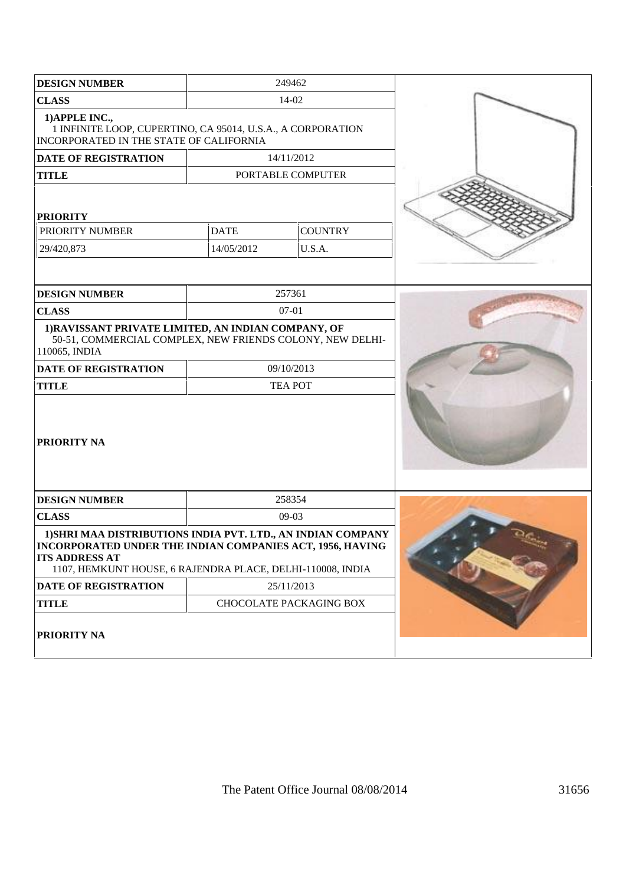| <b>DESIGN NUMBER</b>                                                                                                                                                                                             | 249462      |                         |  |
|------------------------------------------------------------------------------------------------------------------------------------------------------------------------------------------------------------------|-------------|-------------------------|--|
| <b>CLASS</b>                                                                                                                                                                                                     | 14-02       |                         |  |
| 1) APPLE INC.,<br>1 INFINITE LOOP, CUPERTINO, CA 95014, U.S.A., A CORPORATION<br>INCORPORATED IN THE STATE OF CALIFORNIA                                                                                         |             |                         |  |
| <b>DATE OF REGISTRATION</b>                                                                                                                                                                                      | 14/11/2012  |                         |  |
| <b>TITLE</b>                                                                                                                                                                                                     |             | PORTABLE COMPUTER       |  |
| <b>PRIORITY</b>                                                                                                                                                                                                  |             |                         |  |
| PRIORITY NUMBER                                                                                                                                                                                                  | <b>DATE</b> | <b>COUNTRY</b>          |  |
| 29/420,873                                                                                                                                                                                                       | 14/05/2012  | U.S.A.                  |  |
|                                                                                                                                                                                                                  |             |                         |  |
| <b>DESIGN NUMBER</b>                                                                                                                                                                                             | 257361      |                         |  |
| <b>CLASS</b>                                                                                                                                                                                                     | $07-01$     |                         |  |
| 1) RAVISSANT PRIVATE LIMITED, AN INDIAN COMPANY, OF<br>50-51, COMMERCIAL COMPLEX, NEW FRIENDS COLONY, NEW DELHI-<br>110065, INDIA                                                                                |             |                         |  |
| <b>DATE OF REGISTRATION</b>                                                                                                                                                                                      | 09/10/2013  |                         |  |
| <b>TITLE</b>                                                                                                                                                                                                     |             | <b>TEA POT</b>          |  |
| <b>PRIORITY NA</b>                                                                                                                                                                                               |             |                         |  |
| <b>DESIGN NUMBER</b>                                                                                                                                                                                             |             | 258354                  |  |
| <b>CLASS</b>                                                                                                                                                                                                     |             | $09-03$                 |  |
| 1) SHRI MAA DISTRIBUTIONS INDIA PVT. LTD., AN INDIAN COMPANY<br>INCORPORATED UNDER THE INDIAN COMPANIES ACT, 1956, HAVING<br><b>ITS ADDRESS AT</b><br>1107, HEMKUNT HOUSE, 6 RAJENDRA PLACE, DELHI-110008, INDIA |             |                         |  |
| DATE OF REGISTRATION                                                                                                                                                                                             | 25/11/2013  |                         |  |
| <b>TITLE</b>                                                                                                                                                                                                     |             | CHOCOLATE PACKAGING BOX |  |
| PRIORITY NA                                                                                                                                                                                                      |             |                         |  |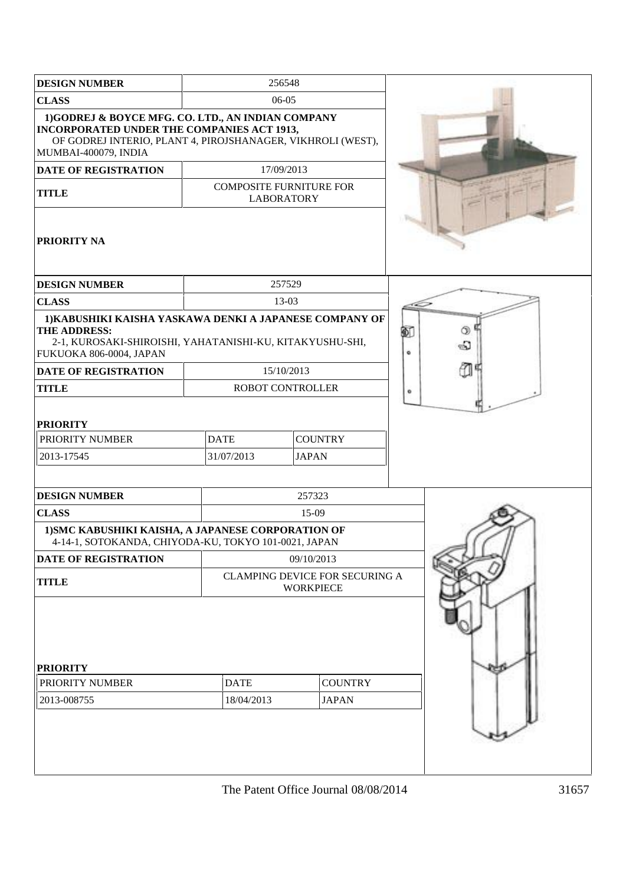| <b>DESIGN NUMBER</b>                                                                                                                                                                           |                           | 256548                                              |                                |   |
|------------------------------------------------------------------------------------------------------------------------------------------------------------------------------------------------|---------------------------|-----------------------------------------------------|--------------------------------|---|
| <b>CLASS</b>                                                                                                                                                                                   |                           | 06-05                                               |                                |   |
| 1) GODREJ & BOYCE MFG. CO. LTD., AN INDIAN COMPANY<br><b>INCORPORATED UNDER THE COMPANIES ACT 1913,</b><br>OF GODREJ INTERIO, PLANT 4, PIROJSHANAGER, VIKHROLI (WEST),<br>MUMBAI-400079, INDIA |                           |                                                     |                                |   |
| <b>DATE OF REGISTRATION</b>                                                                                                                                                                    |                           | 17/09/2013                                          |                                |   |
| <b>TITLE</b>                                                                                                                                                                                   |                           | <b>COMPOSITE FURNITURE FOR</b><br><b>LABORATORY</b> |                                |   |
| <b>PRIORITY NA</b>                                                                                                                                                                             |                           |                                                     |                                |   |
| <b>DESIGN NUMBER</b>                                                                                                                                                                           |                           | 257529                                              |                                |   |
| <b>CLASS</b>                                                                                                                                                                                   |                           | 13-03                                               |                                |   |
| 1) KABUSHIKI KAISHA YASKAWA DENKI A JAPANESE COMPANY OF<br>THE ADDRESS:<br>2-1, KUROSAKI-SHIROISHI, YAHATANISHI-KU, KITAKYUSHU-SHI,<br>FUKUOKA 806-0004, JAPAN                                 | 酊<br>ග<br>බ<br>۰          |                                                     |                                |   |
| <b>DATE OF REGISTRATION</b>                                                                                                                                                                    |                           | 15/10/2013                                          |                                |   |
| <b>TITLE</b>                                                                                                                                                                                   |                           | ROBOT CONTROLLER                                    |                                | ۰ |
| <b>PRIORITY</b><br>PRIORITY NUMBER<br>2013-17545                                                                                                                                               | <b>DATE</b><br>31/07/2013 | <b>COUNTRY</b><br><b>JAPAN</b>                      |                                |   |
| <b>DESIGN NUMBER</b>                                                                                                                                                                           |                           | 257323                                              |                                |   |
| <b>CLASS</b>                                                                                                                                                                                   |                           | 15-09                                               |                                |   |
| 1) SMC KABUSHIKI KAISHA, A JAPANESE CORPORATION OF<br>4-14-1, SOTOKANDA, CHIYODA-KU, TOKYO 101-0021, JAPAN                                                                                     |                           |                                                     |                                |   |
| <b>DATE OF REGISTRATION</b>                                                                                                                                                                    | 09/10/2013                |                                                     |                                |   |
| <b>TITLE</b>                                                                                                                                                                                   |                           | <b>WORKPIECE</b>                                    | CLAMPING DEVICE FOR SECURING A |   |
| <b>PRIORITY</b>                                                                                                                                                                                |                           |                                                     |                                |   |
| PRIORITY NUMBER                                                                                                                                                                                | <b>DATE</b>               | <b>COUNTRY</b>                                      |                                |   |
| 2013-008755                                                                                                                                                                                    | 18/04/2013                | <b>JAPAN</b>                                        |                                |   |
|                                                                                                                                                                                                |                           |                                                     |                                |   |